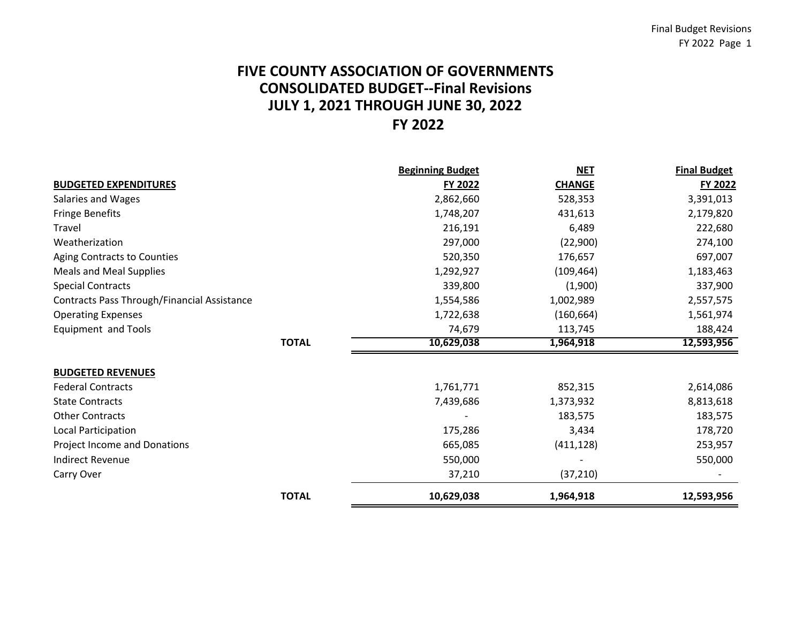# **FY 2022 FIVE COUNTY ASSOCIATION OF GOVERNMENTS CONSOLIDATED BUDGET‐‐Final Revisions JULY 1, 2021 THROUGH JUNE 30, 2022**

|                                             | <b>Beginning Budget</b> | <b>NET</b>    | <b>Final Budget</b> |
|---------------------------------------------|-------------------------|---------------|---------------------|
| <b>BUDGETED EXPENDITURES</b>                | <b>FY 2022</b>          | <b>CHANGE</b> | FY 2022             |
| Salaries and Wages                          | 2,862,660               | 528,353       | 3,391,013           |
| <b>Fringe Benefits</b>                      | 1,748,207               | 431,613       | 2,179,820           |
| <b>Travel</b>                               | 216,191                 | 6,489         | 222,680             |
| Weatherization                              | 297,000                 | (22,900)      | 274,100             |
| Aging Contracts to Counties                 | 520,350                 | 176,657       | 697,007             |
| Meals and Meal Supplies                     | 1,292,927               | (109, 464)    | 1,183,463           |
| <b>Special Contracts</b>                    | 339,800                 | (1,900)       | 337,900             |
| Contracts Pass Through/Financial Assistance | 1,554,586               | 1,002,989     | 2,557,575           |
| <b>Operating Expenses</b>                   | 1,722,638               | (160, 664)    | 1,561,974           |
| Equipment and Tools                         | 74,679                  | 113,745       | 188,424             |
| <b>TOTAL</b>                                | 10,629,038              | 1,964,918     | 12,593,956          |
| <b>BUDGETED REVENUES</b>                    |                         |               |                     |
| <b>Federal Contracts</b>                    | 1,761,771               | 852,315       | 2,614,086           |
| <b>State Contracts</b>                      | 7,439,686               | 1,373,932     | 8,813,618           |
| <b>Other Contracts</b>                      |                         | 183,575       | 183,575             |
| Local Participation                         | 175,286                 | 3,434         | 178,720             |
| Project Income and Donations                | 665,085                 | (411, 128)    | 253,957             |
| <b>Indirect Revenue</b>                     | 550,000                 |               | 550,000             |
| Carry Over                                  | 37,210                  | (37, 210)     |                     |
| <b>TOTAL</b>                                | 10,629,038              | 1,964,918     | 12,593,956          |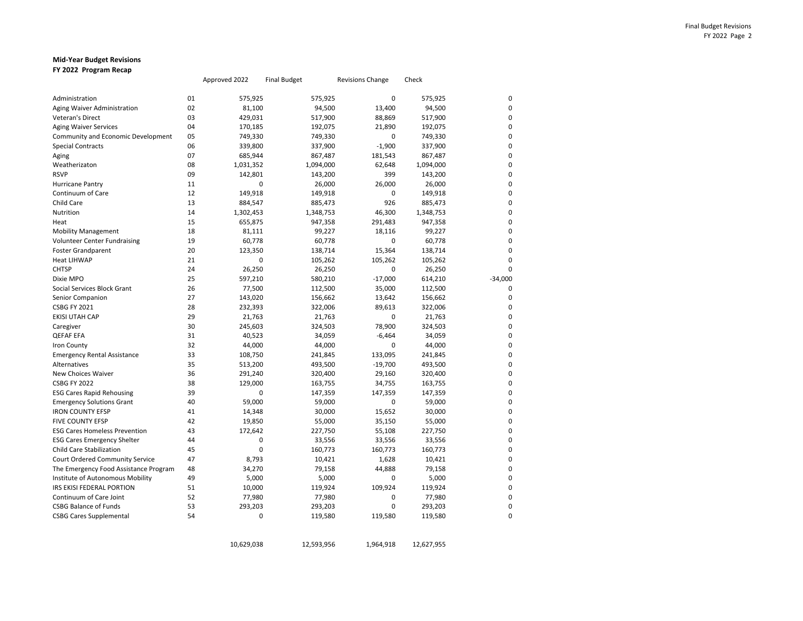### **Mid‐Year Budget Revisions FY 2022 Program Recap**

|                                       |    | Approved 2022 | <b>Final Budget</b> | <b>Revisions Change</b> | Check     |           |
|---------------------------------------|----|---------------|---------------------|-------------------------|-----------|-----------|
| Administration                        | 01 | 575,925       | 575,925             | $\mathbf 0$             | 575,925   |           |
| Aging Waiver Administration           | 02 | 81,100        | 94,500              | 13,400                  | 94,500    |           |
| Veteran's Direct                      | 03 | 429,031       | 517,900             | 88,869                  | 517,900   |           |
| <b>Aging Waiver Services</b>          | 04 | 170,185       | 192,075             | 21,890                  | 192,075   |           |
| Community and Economic Development    | 05 | 749,330       | 749,330             | 0                       | 749,330   |           |
| <b>Special Contracts</b>              | 06 | 339,800       | 337,900             | $-1,900$                | 337,900   | $\Omega$  |
| Aging                                 | 07 | 685,944       | 867,487             | 181,543                 | 867,487   |           |
| Weatherizaton                         | 08 | 1,031,352     | 1,094,000           | 62,648                  | 1,094,000 |           |
| <b>RSVP</b>                           | 09 | 142,801       | 143,200             | 399                     | 143,200   | $\Omega$  |
| <b>Hurricane Pantry</b>               | 11 | 0             | 26,000              | 26,000                  | 26,000    |           |
| Continuum of Care                     | 12 | 149,918       | 149,918             | $\mathbf 0$             | 149,918   | n         |
| Child Care                            | 13 | 884,547       | 885,473             | 926                     | 885,473   |           |
| Nutrition                             | 14 | 1,302,453     | 1,348,753           | 46,300                  | 1,348,753 |           |
| Heat                                  | 15 | 655,875       | 947,358             | 291,483                 | 947,358   |           |
| <b>Mobility Management</b>            | 18 | 81,111        | 99,227              | 18,116                  | 99,227    |           |
| <b>Volunteer Center Fundraising</b>   | 19 | 60,778        | 60,778              | $\mathbf 0$             | 60,778    |           |
| <b>Foster Grandparent</b>             | 20 | 123,350       | 138,714             | 15,364                  | 138,714   | $\Omega$  |
| <b>Heat LIHWAP</b>                    | 21 | 0             | 105,262             | 105,262                 | 105,262   | 0         |
| <b>CHTSP</b>                          | 24 | 26,250        | 26,250              | $\mathbf 0$             | 26,250    | $\Omega$  |
| Dixie MPO                             | 25 | 597,210       | 580,210             | $-17,000$               | 614,210   | $-34,000$ |
| Social Services Block Grant           | 26 | 77,500        | 112,500             | 35,000                  | 112,500   | $\Omega$  |
| Senior Companion                      | 27 | 143,020       | 156,662             | 13,642                  | 156,662   | $\Omega$  |
| <b>CSBG FY 2021</b>                   | 28 | 232,393       | 322,006             | 89,613                  | 322,006   | n         |
| EKISI UTAH CAP                        | 29 | 21,763        | 21,763              | $\mathbf 0$             | 21,763    | 0         |
| Caregiver                             | 30 | 245,603       | 324,503             | 78,900                  | 324,503   |           |
| QEFAF EFA                             | 31 | 40,523        | 34,059              | $-6,464$                | 34,059    |           |
| <b>Iron County</b>                    | 32 | 44,000        | 44,000              | $\mathbf 0$             | 44,000    |           |
| <b>Emergency Rental Assistance</b>    | 33 | 108,750       | 241,845             | 133,095                 | 241,845   |           |
| <b>Alternatives</b>                   | 35 | 513,200       | 493,500             | $-19,700$               | 493,500   |           |
| New Choices Waiver                    | 36 | 291,240       | 320,400             | 29,160                  | 320,400   | $\Omega$  |
| <b>CSBG FY 2022</b>                   | 38 | 129,000       | 163,755             | 34,755                  | 163,755   |           |
| <b>ESG Cares Rapid Rehousing</b>      | 39 | 0             | 147,359             | 147,359                 | 147,359   |           |
| <b>Emergency Solutions Grant</b>      | 40 | 59,000        | 59,000              | $\mathbf 0$             | 59,000    |           |
| <b>IRON COUNTY EFSP</b>               | 41 | 14,348        | 30,000              | 15,652                  | 30,000    |           |
| <b>FIVE COUNTY EFSP</b>               | 42 | 19,850        | 55,000              | 35,150                  | 55,000    |           |
| <b>ESG Cares Homeless Prevention</b>  | 43 | 172,642       | 227,750             | 55,108                  | 227,750   |           |
| <b>ESG Cares Emergency Shelter</b>    | 44 | 0             | 33,556              | 33,556                  | 33,556    |           |
| <b>Child Care Stabilization</b>       | 45 | 0             | 160,773             | 160,773                 | 160,773   | $\Omega$  |
| Court Ordered Community Service       | 47 | 8,793         | 10,421              | 1,628                   | 10,421    | 0         |
| The Emergency Food Assistance Program | 48 | 34,270        | 79,158              | 44,888                  | 79,158    |           |
| Institute of Autonomous Mobility      | 49 | 5,000         | 5,000               | $\mathbf 0$             | 5,000     |           |
| IRS EKISI FEDERAL PORTION             | 51 | 10,000        | 119,924             | 109,924                 | 119,924   |           |
| Continuum of Care Joint               | 52 | 77,980        | 77,980              | $\mathbf 0$             | 77,980    |           |
| <b>CSBG Balance of Funds</b>          | 53 | 293,203       | 293,203             | $\mathbf 0$             | 293,203   |           |
| <b>CSBG Cares Supplemental</b>        | 54 | 0             | 119,580             | 119,580                 | 119,580   | 0         |

10,629,038 12,593,956 1,964,918 12,627,955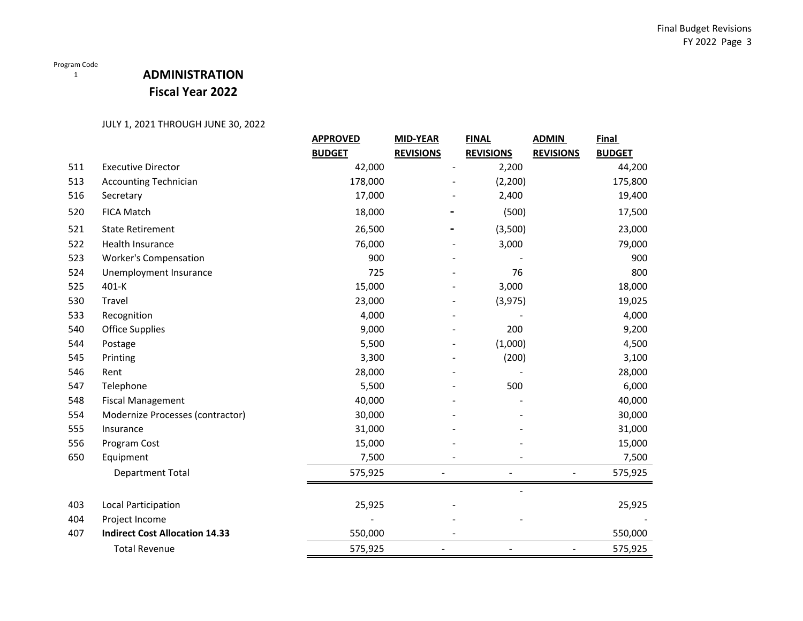## **ADMINISTRATION Fiscal Year 2022**

|     |                                       | <b>APPROVED</b> | <b>MID-YEAR</b>  | <b>FINAL</b>     | <b>ADMIN</b>     | Final         |
|-----|---------------------------------------|-----------------|------------------|------------------|------------------|---------------|
|     |                                       | <b>BUDGET</b>   | <b>REVISIONS</b> | <b>REVISIONS</b> | <b>REVISIONS</b> | <b>BUDGET</b> |
| 511 | <b>Executive Director</b>             | 42,000          |                  | 2,200            |                  | 44,200        |
| 513 | <b>Accounting Technician</b>          | 178,000         |                  | (2,200)          |                  | 175,800       |
| 516 | Secretary                             | 17,000          |                  | 2,400            |                  | 19,400        |
| 520 | FICA Match                            | 18,000          |                  | (500)            |                  | 17,500        |
| 521 | <b>State Retirement</b>               | 26,500          |                  | (3,500)          |                  | 23,000        |
| 522 | Health Insurance                      | 76,000          |                  | 3,000            |                  | 79,000        |
| 523 | <b>Worker's Compensation</b>          | 900             |                  |                  |                  | 900           |
| 524 | Unemployment Insurance                | 725             |                  | 76               |                  | 800           |
| 525 | 401-K                                 | 15,000          |                  | 3,000            |                  | 18,000        |
| 530 | Travel                                | 23,000          |                  | (3, 975)         |                  | 19,025        |
| 533 | Recognition                           | 4,000           |                  |                  |                  | 4,000         |
| 540 | <b>Office Supplies</b>                | 9,000           |                  | 200              |                  | 9,200         |
| 544 | Postage                               | 5,500           |                  | (1,000)          |                  | 4,500         |
| 545 | Printing                              | 3,300           |                  | (200)            |                  | 3,100         |
| 546 | Rent                                  | 28,000          |                  |                  |                  | 28,000        |
| 547 | Telephone                             | 5,500           |                  | 500              |                  | 6,000         |
| 548 | <b>Fiscal Management</b>              | 40,000          |                  |                  |                  | 40,000        |
| 554 | Modernize Processes (contractor)      | 30,000          |                  |                  |                  | 30,000        |
| 555 | Insurance                             | 31,000          |                  |                  |                  | 31,000        |
| 556 | Program Cost                          | 15,000          |                  |                  |                  | 15,000        |
| 650 | Equipment                             | 7,500           |                  |                  |                  | 7,500         |
|     | Department Total                      | 575,925         |                  |                  |                  | 575,925       |
|     |                                       |                 |                  |                  |                  |               |
| 403 | Local Participation                   | 25,925          |                  |                  |                  | 25,925        |
| 404 | Project Income                        |                 |                  |                  |                  |               |
| 407 | <b>Indirect Cost Allocation 14.33</b> | 550,000         |                  |                  |                  | 550,000       |
|     | <b>Total Revenue</b>                  | 575,925         |                  |                  | $\overline{a}$   | 575,925       |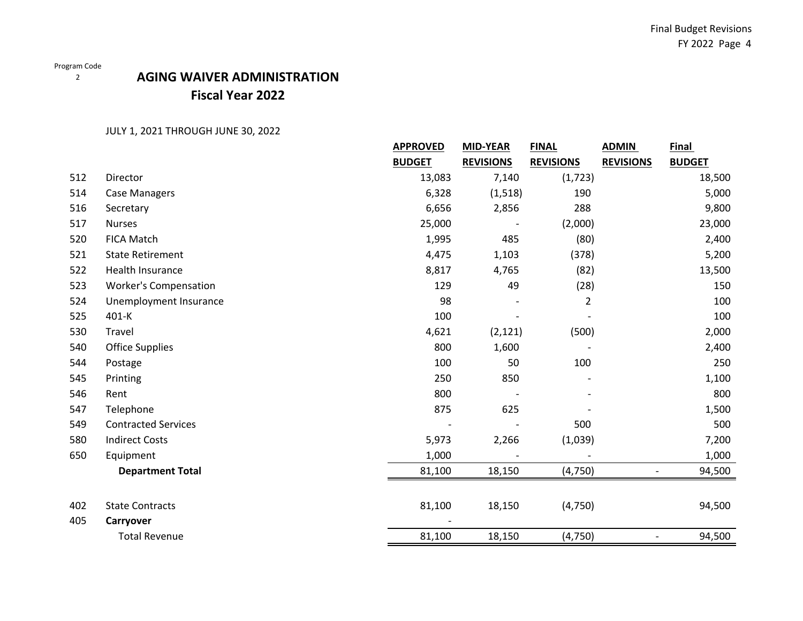2

## **AGING WAIVER ADMINISTRATIONFiscal Year 2022**

|     |                              | <b>APPROVED</b><br><b>MID-YEAR</b><br><b>FINAL</b> |                  | <b>ADMIN</b>     | <b>Final</b>             |               |
|-----|------------------------------|----------------------------------------------------|------------------|------------------|--------------------------|---------------|
|     |                              | <b>BUDGET</b>                                      | <b>REVISIONS</b> | <b>REVISIONS</b> | <b>REVISIONS</b>         | <b>BUDGET</b> |
| 512 | Director                     | 13,083                                             | 7,140            | (1, 723)         |                          | 18,500        |
| 514 | <b>Case Managers</b>         | 6,328                                              | (1, 518)         | 190              |                          | 5,000         |
| 516 | Secretary                    | 6,656                                              | 2,856            | 288              |                          | 9,800         |
| 517 | <b>Nurses</b>                | 25,000                                             |                  | (2,000)          |                          | 23,000        |
| 520 | <b>FICA Match</b>            | 1,995                                              | 485              | (80)             |                          | 2,400         |
| 521 | <b>State Retirement</b>      | 4,475                                              | 1,103            | (378)            |                          | 5,200         |
| 522 | <b>Health Insurance</b>      | 8,817                                              | 4,765            | (82)             |                          | 13,500        |
| 523 | <b>Worker's Compensation</b> | 129                                                | 49               | (28)             |                          | 150           |
| 524 | Unemployment Insurance       | 98                                                 |                  | $\overline{2}$   |                          | 100           |
| 525 | 401-K                        | 100                                                |                  |                  |                          | 100           |
| 530 | Travel                       | 4,621                                              | (2, 121)         | (500)            |                          | 2,000         |
| 540 | <b>Office Supplies</b>       | 800                                                | 1,600            |                  |                          | 2,400         |
| 544 | Postage                      | 100                                                | 50               | 100              |                          | 250           |
| 545 | Printing                     | 250                                                | 850              |                  |                          | 1,100         |
| 546 | Rent                         | 800                                                |                  |                  |                          | 800           |
| 547 | Telephone                    | 875                                                | 625              |                  |                          | 1,500         |
| 549 | <b>Contracted Services</b>   |                                                    |                  | 500              |                          | 500           |
| 580 | <b>Indirect Costs</b>        | 5,973                                              | 2,266            | (1,039)          |                          | 7,200         |
| 650 | Equipment                    | 1,000                                              |                  |                  |                          | 1,000         |
|     | <b>Department Total</b>      | 81,100                                             | 18,150           | (4, 750)         |                          | 94,500        |
|     |                              |                                                    |                  |                  |                          |               |
| 402 | <b>State Contracts</b>       | 81,100                                             | 18,150           | (4, 750)         |                          | 94,500        |
| 405 | Carryover                    |                                                    |                  |                  |                          |               |
|     | <b>Total Revenue</b>         | 81,100                                             | 18,150           | (4, 750)         | $\overline{\phantom{a}}$ | 94,500        |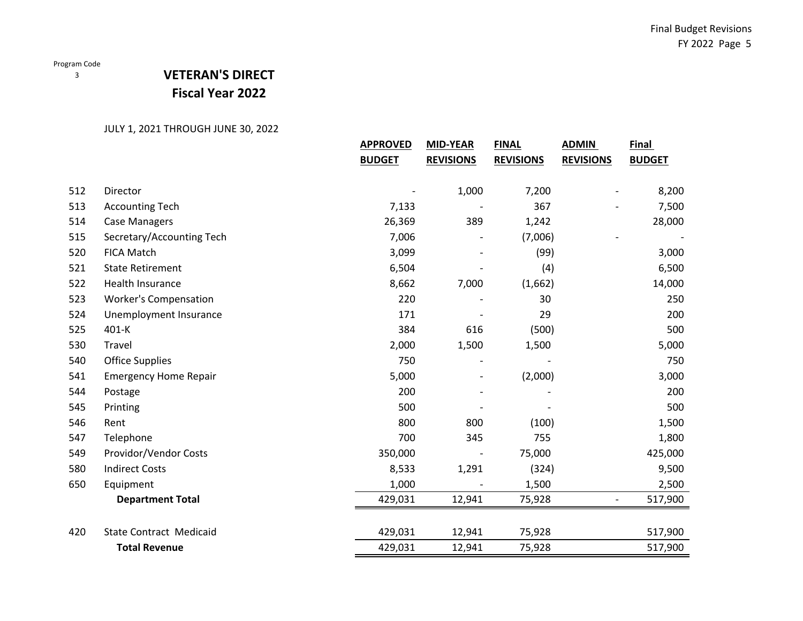### 3

## **VETERAN'S DIRECT Fiscal Year 2022**

|     |                                | <b>APPROVED</b><br><b>MID-YEAR</b><br><b>FINAL</b> |                  | <b>ADMIN</b>     | <b>Final</b>             |               |
|-----|--------------------------------|----------------------------------------------------|------------------|------------------|--------------------------|---------------|
|     |                                | <b>BUDGET</b>                                      | <b>REVISIONS</b> | <b>REVISIONS</b> | <b>REVISIONS</b>         | <b>BUDGET</b> |
|     |                                |                                                    |                  |                  |                          |               |
| 512 | Director                       |                                                    | 1,000            | 7,200            |                          | 8,200         |
| 513 | <b>Accounting Tech</b>         | 7,133                                              |                  | 367              |                          | 7,500         |
| 514 | <b>Case Managers</b>           | 26,369                                             | 389              | 1,242            |                          | 28,000        |
| 515 | Secretary/Accounting Tech      | 7,006                                              |                  | (7,006)          |                          |               |
| 520 | <b>FICA Match</b>              | 3,099                                              |                  | (99)             |                          | 3,000         |
| 521 | <b>State Retirement</b>        | 6,504                                              |                  | (4)              |                          | 6,500         |
| 522 | <b>Health Insurance</b>        | 8,662                                              | 7,000            | (1,662)          |                          | 14,000        |
| 523 | <b>Worker's Compensation</b>   | 220                                                |                  | 30               |                          | 250           |
| 524 | Unemployment Insurance         | 171                                                |                  | 29               |                          | 200           |
| 525 | 401-K                          | 384                                                | 616              | (500)            |                          | 500           |
| 530 | Travel                         | 2,000                                              | 1,500            | 1,500            |                          | 5,000         |
| 540 | <b>Office Supplies</b>         | 750                                                |                  |                  |                          | 750           |
| 541 | <b>Emergency Home Repair</b>   | 5,000                                              |                  | (2,000)          |                          | 3,000         |
| 544 | Postage                        | 200                                                |                  |                  |                          | 200           |
| 545 | Printing                       | 500                                                |                  |                  |                          | 500           |
| 546 | Rent                           | 800                                                | 800              | (100)            |                          | 1,500         |
| 547 | Telephone                      | 700                                                | 345              | 755              |                          | 1,800         |
| 549 | Providor/Vendor Costs          | 350,000                                            |                  | 75,000           |                          | 425,000       |
| 580 | <b>Indirect Costs</b>          | 8,533                                              | 1,291            | (324)            |                          | 9,500         |
| 650 | Equipment                      | 1,000                                              |                  | 1,500            |                          | 2,500         |
|     | <b>Department Total</b>        | 429,031                                            | 12,941           | 75,928           | $\overline{\phantom{a}}$ | 517,900       |
|     |                                |                                                    |                  |                  |                          |               |
| 420 | <b>State Contract Medicaid</b> | 429,031                                            | 12,941           | 75,928           |                          | 517,900       |
|     | <b>Total Revenue</b>           | 429,031                                            | 12,941           | 75,928           |                          | 517,900       |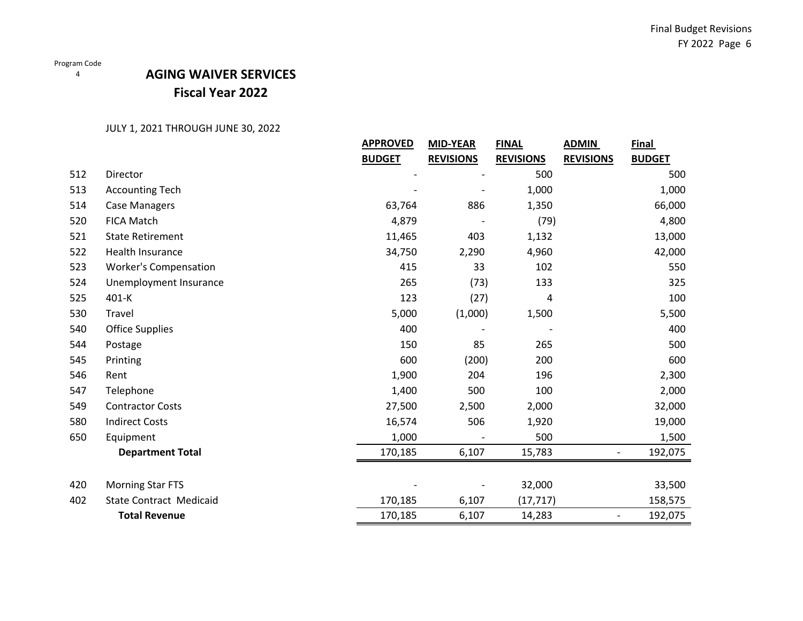# **AGING WAIVER SERVICES Fiscal Year 2022**

|     |                                | <b>APPROVED</b> | <b>MID-YEAR</b>  | <b>FINAL</b>     | <b>ADMIN</b>             | <b>Final</b>  |
|-----|--------------------------------|-----------------|------------------|------------------|--------------------------|---------------|
|     |                                | <b>BUDGET</b>   | <b>REVISIONS</b> | <b>REVISIONS</b> | <b>REVISIONS</b>         | <b>BUDGET</b> |
| 512 | Director                       |                 |                  | 500              |                          | 500           |
| 513 | <b>Accounting Tech</b>         |                 |                  | 1,000            |                          | 1,000         |
| 514 | <b>Case Managers</b>           | 63,764          | 886              | 1,350            |                          | 66,000        |
| 520 | <b>FICA Match</b>              | 4,879           |                  | (79)             |                          | 4,800         |
| 521 | <b>State Retirement</b>        | 11,465          | 403              | 1,132            |                          | 13,000        |
| 522 | Health Insurance               | 34,750          | 2,290            | 4,960            |                          | 42,000        |
| 523 | <b>Worker's Compensation</b>   | 415             | 33               | 102              |                          | 550           |
| 524 | Unemployment Insurance         | 265             | (73)             | 133              |                          | 325           |
| 525 | 401-K                          | 123             | (27)             | 4                |                          | 100           |
| 530 | Travel                         | 5,000           | (1,000)          | 1,500            |                          | 5,500         |
| 540 | <b>Office Supplies</b>         | 400             |                  |                  |                          | 400           |
| 544 | Postage                        | 150             | 85               | 265              |                          | 500           |
| 545 | Printing                       | 600             | (200)            | 200              |                          | 600           |
| 546 | Rent                           | 1,900           | 204              | 196              |                          | 2,300         |
| 547 | Telephone                      | 1,400           | 500              | 100              |                          | 2,000         |
| 549 | <b>Contractor Costs</b>        | 27,500          | 2,500            | 2,000            |                          | 32,000        |
| 580 | <b>Indirect Costs</b>          | 16,574          | 506              | 1,920            |                          | 19,000        |
| 650 | Equipment                      | 1,000           |                  | 500              |                          | 1,500         |
|     | <b>Department Total</b>        | 170,185         | 6,107            | 15,783           |                          | 192,075       |
|     |                                |                 |                  |                  |                          |               |
| 420 | <b>Morning Star FTS</b>        |                 |                  | 32,000           |                          | 33,500        |
| 402 | <b>State Contract Medicaid</b> | 170,185         | 6,107            | (17, 717)        |                          | 158,575       |
|     | <b>Total Revenue</b>           | 170,185         | 6,107            | 14,283           | $\overline{\phantom{a}}$ | 192,075       |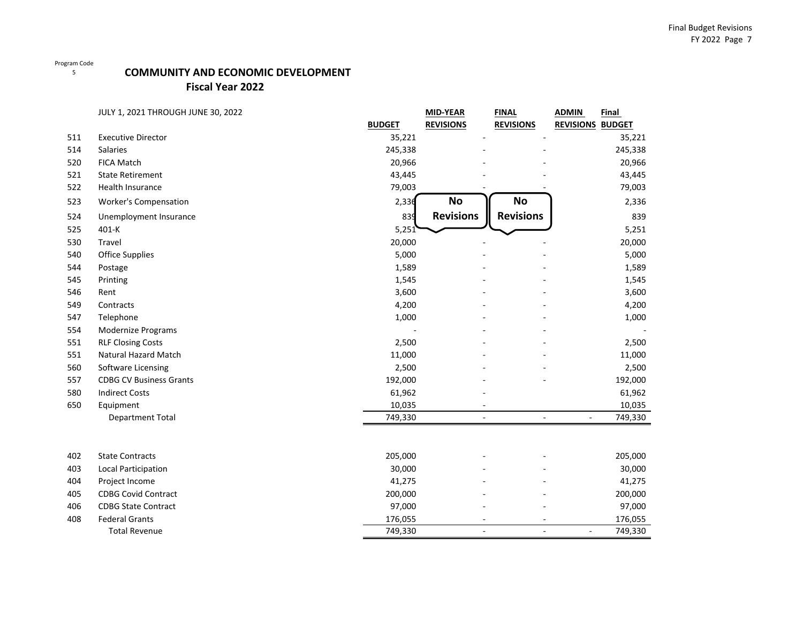## **COMMUNITY AND ECONOMIC DEVELOPMENT**

**Fiscal Year 2022**

|     | <b>JULY 1, 2021 THROUGH JUNE 30, 2022</b> |               | <b>MID-YEAR</b>          | <b>FINAL</b>     | <b>ADMIN</b><br>Final               |
|-----|-------------------------------------------|---------------|--------------------------|------------------|-------------------------------------|
|     |                                           | <b>BUDGET</b> | <b>REVISIONS</b>         | <b>REVISIONS</b> | <b>REVISIONS BUDGET</b>             |
| 511 | <b>Executive Director</b>                 | 35,221        |                          |                  | 35,221                              |
| 514 | <b>Salaries</b>                           | 245,338       |                          |                  | 245,338                             |
| 520 | FICA Match                                | 20,966        |                          |                  | 20,966                              |
| 521 | <b>State Retirement</b>                   | 43,445        |                          |                  | 43,445                              |
| 522 | Health Insurance                          | 79,003        |                          |                  | 79,003                              |
| 523 | <b>Worker's Compensation</b>              | 2,336         | <b>No</b>                | No               | 2,336                               |
| 524 | Unemployment Insurance                    | 839           | <b>Revisions</b>         | <b>Revisions</b> | 839                                 |
| 525 | 401-K                                     | 5,251         |                          |                  | 5,251                               |
| 530 | <b>Travel</b>                             | 20,000        |                          |                  | 20,000                              |
| 540 | <b>Office Supplies</b>                    | 5,000         |                          |                  | 5,000                               |
| 544 | Postage                                   | 1,589         |                          |                  | 1,589                               |
| 545 | Printing                                  | 1,545         |                          |                  | 1,545                               |
| 546 | Rent                                      | 3,600         |                          |                  | 3,600                               |
| 549 | Contracts                                 | 4,200         |                          |                  | 4,200                               |
| 547 | Telephone                                 | 1,000         |                          |                  | 1,000                               |
| 554 | Modernize Programs                        |               |                          |                  |                                     |
| 551 | <b>RLF Closing Costs</b>                  | 2,500         |                          |                  | 2,500                               |
| 551 | Natural Hazard Match                      | 11,000        |                          |                  | 11,000                              |
| 560 | Software Licensing                        | 2,500         |                          |                  | 2,500                               |
| 557 | <b>CDBG CV Business Grants</b>            | 192,000       |                          |                  | 192,000                             |
| 580 | <b>Indirect Costs</b>                     | 61,962        |                          |                  | 61,962                              |
| 650 | Equipment                                 | 10,035        |                          |                  | 10,035                              |
|     | <b>Department Total</b>                   | 749,330       | $\overline{\phantom{a}}$ | ÷.               | 749,330<br>$\overline{\phantom{a}}$ |
|     |                                           |               |                          |                  |                                     |
| 402 | <b>State Contracts</b>                    | 205,000       |                          |                  | 205,000                             |
| 403 | <b>Local Participation</b>                | 30,000        |                          |                  | 30,000                              |
| 404 | Project Income                            | 41,275        |                          |                  | 41,275                              |
| 405 | <b>CDBG Covid Contract</b>                | 200,000       |                          |                  | 200,000                             |
| 406 | <b>CDBG State Contract</b>                | 97,000        |                          |                  | 97,000                              |
| 408 | <b>Federal Grants</b>                     | 176,055       | $\overline{\phantom{a}}$ | $\equiv$         | 176,055                             |
|     | <b>Total Revenue</b>                      | 749,330       | $\overline{\phantom{a}}$ | ÷,               | 749,330                             |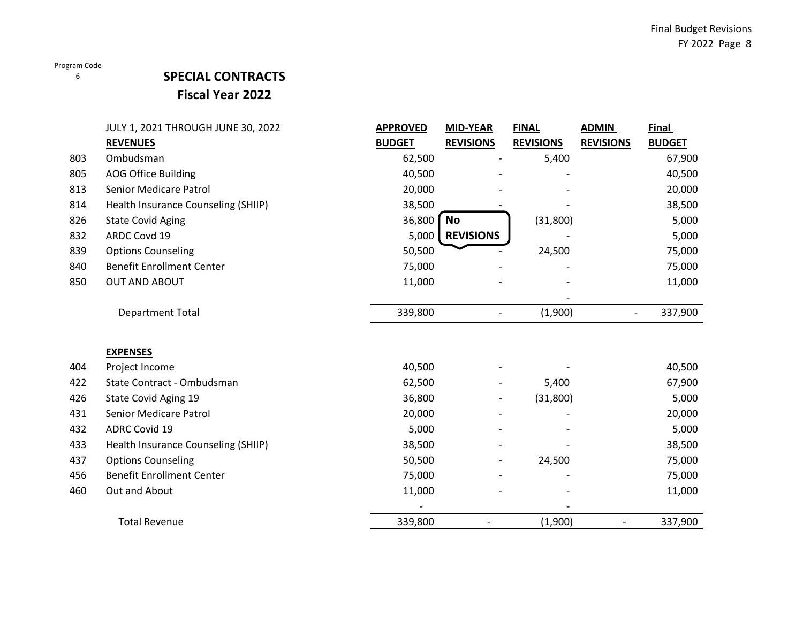### 6

## **SPECIAL CONTRACTS Fiscal Year 2022**

|     | JULY 1, 2021 THROUGH JUNE 30, 2022  | <b>APPROVED</b> | <b>MID-YEAR</b>              | <b>FINAL</b>     | <b>ADMIN</b>     | <b>Final</b>  |
|-----|-------------------------------------|-----------------|------------------------------|------------------|------------------|---------------|
|     | <b>REVENUES</b>                     | <b>BUDGET</b>   | <b>REVISIONS</b>             | <b>REVISIONS</b> | <b>REVISIONS</b> | <b>BUDGET</b> |
| 803 | Ombudsman                           | 62,500          |                              | 5,400            |                  | 67,900        |
| 805 | <b>AOG Office Building</b>          | 40,500          |                              |                  |                  | 40,500        |
| 813 | Senior Medicare Patrol              | 20,000          |                              |                  |                  | 20,000        |
| 814 | Health Insurance Counseling (SHIIP) | 38,500          |                              |                  |                  | 38,500        |
| 826 | <b>State Covid Aging</b>            | 36,800          | <b>No</b>                    | (31,800)         |                  | 5,000         |
| 832 | ARDC Covd 19                        | 5,000           | <b>REVISIONS</b>             |                  |                  | 5,000         |
| 839 | <b>Options Counseling</b>           | 50,500          |                              | 24,500           |                  | 75,000        |
| 840 | <b>Benefit Enrollment Center</b>    | 75,000          |                              |                  |                  | 75,000        |
| 850 | <b>OUT AND ABOUT</b>                | 11,000          |                              |                  |                  | 11,000        |
|     |                                     |                 |                              |                  |                  |               |
|     | <b>Department Total</b>             | 339,800         |                              | (1,900)          | $\overline{a}$   | 337,900       |
|     |                                     |                 |                              |                  |                  |               |
|     | <b>EXPENSES</b>                     |                 |                              |                  |                  |               |
| 404 | Project Income                      | 40,500          |                              |                  |                  | 40,500        |
| 422 | State Contract - Ombudsman          | 62,500          |                              | 5,400            |                  | 67,900        |
| 426 | State Covid Aging 19                | 36,800          | $\overline{\phantom{a}}$     | (31,800)         |                  | 5,000         |
| 431 | Senior Medicare Patrol              | 20,000          |                              |                  |                  | 20,000        |
| 432 | <b>ADRC Covid 19</b>                | 5,000           | $\overline{\phantom{a}}$     |                  |                  | 5,000         |
| 433 | Health Insurance Counseling (SHIIP) | 38,500          |                              |                  |                  | 38,500        |
| 437 | <b>Options Counseling</b>           | 50,500          | $\qquad \qquad \blacksquare$ | 24,500           |                  | 75,000        |
| 456 | <b>Benefit Enrollment Center</b>    | 75,000          |                              |                  |                  | 75,000        |
| 460 | Out and About                       | 11,000          |                              |                  |                  | 11,000        |
|     |                                     |                 |                              |                  |                  |               |
|     | <b>Total Revenue</b>                | 339,800         |                              | (1,900)          |                  | 337,900       |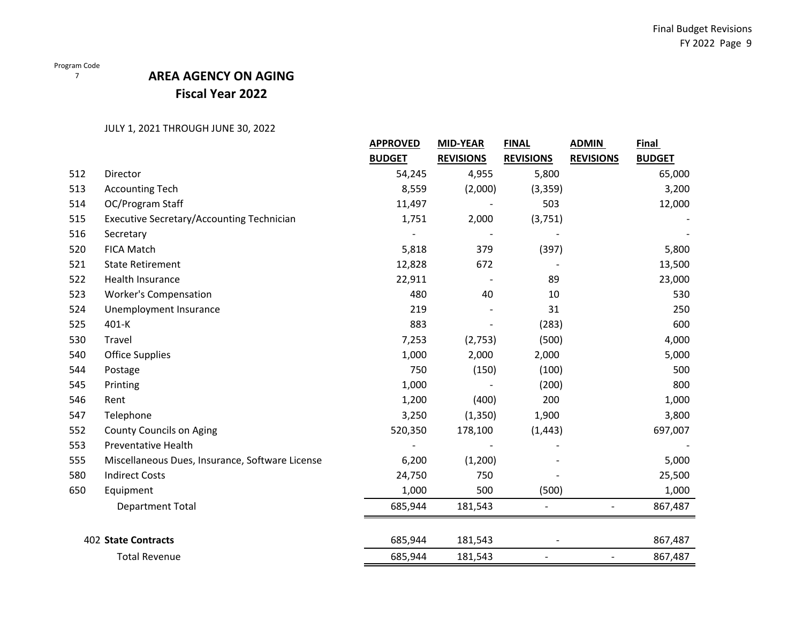$\frac{7}{7}$ 

## **AREA AGENCY ON AGING Fiscal Year 2022**

|     | <b>APPROVED</b><br><b>MID-YEAR</b>              |               | <b>FINAL</b>     | <b>ADMIN</b>             | Final                    |               |
|-----|-------------------------------------------------|---------------|------------------|--------------------------|--------------------------|---------------|
|     |                                                 | <b>BUDGET</b> | <b>REVISIONS</b> | <b>REVISIONS</b>         | <b>REVISIONS</b>         | <b>BUDGET</b> |
| 512 | Director                                        | 54,245        | 4,955            | 5,800                    |                          | 65,000        |
| 513 | <b>Accounting Tech</b>                          | 8,559         | (2,000)          | (3,359)                  |                          | 3,200         |
| 514 | OC/Program Staff                                | 11,497        |                  | 503                      |                          | 12,000        |
| 515 | Executive Secretary/Accounting Technician       | 1,751         | 2,000            | (3,751)                  |                          |               |
| 516 | Secretary                                       |               |                  |                          |                          |               |
| 520 | <b>FICA Match</b>                               | 5,818         | 379              | (397)                    |                          | 5,800         |
| 521 | <b>State Retirement</b>                         | 12,828        | 672              |                          |                          | 13,500        |
| 522 | Health Insurance                                | 22,911        |                  | 89                       |                          | 23,000        |
| 523 | <b>Worker's Compensation</b>                    | 480           | 40               | 10                       |                          | 530           |
| 524 | Unemployment Insurance                          | 219           |                  | 31                       |                          | 250           |
| 525 | 401-K                                           | 883           |                  | (283)                    |                          | 600           |
| 530 | Travel                                          | 7,253         | (2,753)          | (500)                    |                          | 4,000         |
| 540 | <b>Office Supplies</b>                          | 1,000         | 2,000            | 2,000                    |                          | 5,000         |
| 544 | Postage                                         | 750           | (150)            | (100)                    |                          | 500           |
| 545 | Printing                                        | 1,000         |                  | (200)                    |                          | 800           |
| 546 | Rent                                            | 1,200         | (400)            | 200                      |                          | 1,000         |
| 547 | Telephone                                       | 3,250         | (1,350)          | 1,900                    |                          | 3,800         |
| 552 | <b>County Councils on Aging</b>                 | 520,350       | 178,100          | (1, 443)                 |                          | 697,007       |
| 553 | Preventative Health                             |               |                  |                          |                          |               |
| 555 | Miscellaneous Dues, Insurance, Software License | 6,200         | (1,200)          |                          |                          | 5,000         |
| 580 | <b>Indirect Costs</b>                           | 24,750        | 750              |                          |                          | 25,500        |
| 650 | Equipment                                       | 1,000         | 500              | (500)                    |                          | 1,000         |
|     | <b>Department Total</b>                         | 685,944       | 181,543          | $\overline{\phantom{a}}$ | $\overline{\phantom{0}}$ | 867,487       |
|     | <b>402 State Contracts</b>                      | 685,944       | 181,543          |                          |                          | 867,487       |
|     | <b>Total Revenue</b>                            | 685,944       | 181,543          |                          | $\overline{a}$           | 867,487       |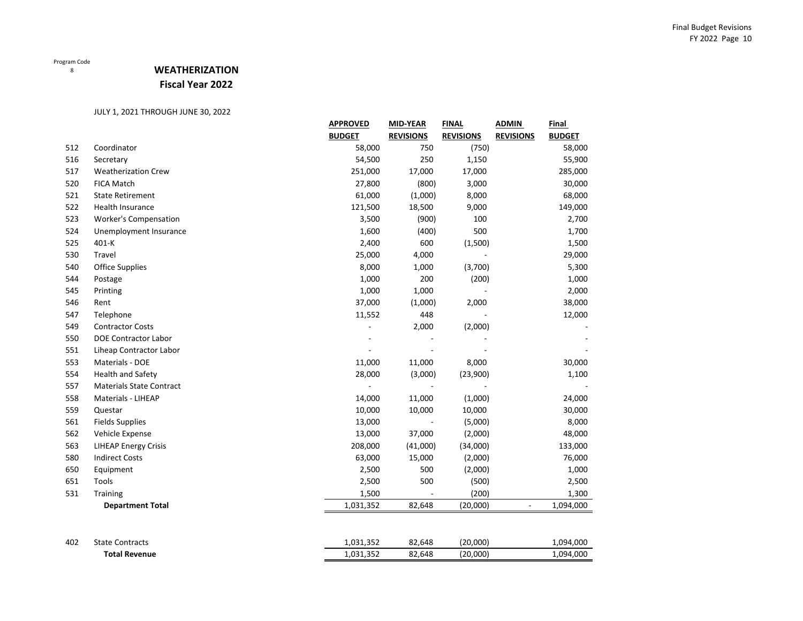## **WEATHERIZATION Fiscal Year 2022**

|     |                                 | <b>APPROVED</b> | <b>MID-YEAR</b>  | <b>FINAL</b>     | <b>ADMIN</b>     | <b>Final</b>  |
|-----|---------------------------------|-----------------|------------------|------------------|------------------|---------------|
|     |                                 | <b>BUDGET</b>   | <b>REVISIONS</b> | <b>REVISIONS</b> | <b>REVISIONS</b> | <b>BUDGET</b> |
| 512 | Coordinator                     | 58,000          | 750              | (750)            |                  | 58,000        |
| 516 | Secretary                       | 54,500          | 250              | 1,150            |                  | 55,900        |
| 517 | <b>Weatherization Crew</b>      | 251,000         | 17,000           | 17,000           |                  | 285,000       |
| 520 | <b>FICA Match</b>               | 27,800          | (800)            | 3,000            |                  | 30,000        |
| 521 | <b>State Retirement</b>         | 61,000          | (1,000)          | 8,000            |                  | 68,000        |
| 522 | Health Insurance                | 121,500         | 18,500           | 9,000            |                  | 149,000       |
| 523 | <b>Worker's Compensation</b>    | 3,500           | (900)            | 100              |                  | 2,700         |
| 524 | Unemployment Insurance          | 1,600           | (400)            | 500              |                  | 1,700         |
| 525 | 401-K                           | 2,400           | 600              | (1,500)          |                  | 1,500         |
| 530 | Travel                          | 25,000          | 4,000            |                  |                  | 29,000        |
| 540 | <b>Office Supplies</b>          | 8,000           | 1,000            | (3,700)          |                  | 5,300         |
| 544 | Postage                         | 1,000           | 200              | (200)            |                  | 1,000         |
| 545 | Printing                        | 1,000           | 1,000            |                  |                  | 2,000         |
| 546 | Rent                            | 37,000          | (1,000)          | 2,000            |                  | 38,000        |
| 547 | Telephone                       | 11,552          | 448              |                  |                  | 12,000        |
| 549 | <b>Contractor Costs</b>         |                 | 2,000            | (2,000)          |                  |               |
| 550 | <b>DOE Contractor Labor</b>     |                 |                  |                  |                  |               |
| 551 | Liheap Contractor Labor         |                 |                  |                  |                  |               |
| 553 | Materials - DOE                 | 11,000          | 11,000           | 8,000            |                  | 30,000        |
| 554 | Health and Safety               | 28,000          | (3,000)          | (23,900)         |                  | 1,100         |
| 557 | <b>Materials State Contract</b> |                 |                  |                  |                  |               |
| 558 | Materials - LIHEAP              | 14,000          | 11,000           | (1,000)          |                  | 24,000        |
| 559 | Questar                         | 10,000          | 10,000           | 10,000           |                  | 30,000        |
| 561 | <b>Fields Supplies</b>          | 13,000          |                  | (5,000)          |                  | 8,000         |
| 562 | Vehicle Expense                 | 13,000          | 37,000           | (2,000)          |                  | 48,000        |
| 563 | <b>LIHEAP Energy Crisis</b>     | 208,000         | (41,000)         | (34,000)         |                  | 133,000       |
| 580 | <b>Indirect Costs</b>           | 63,000          | 15,000           | (2,000)          |                  | 76,000        |
| 650 | Equipment                       | 2,500           | 500              | (2,000)          |                  | 1,000         |
| 651 | Tools                           | 2,500           | 500              | (500)            |                  | 2,500         |
| 531 | Training                        | 1,500           |                  | (200)            |                  | 1,300         |
|     | <b>Department Total</b>         | 1,031,352       | 82,648           | (20,000)         |                  | 1,094,000     |
| 402 | <b>State Contracts</b>          | 1,031,352       | 82,648           | (20,000)         |                  | 1,094,000     |
|     | <b>Total Revenue</b>            | 1,031,352       | 82,648           | (20,000)         |                  | 1,094,000     |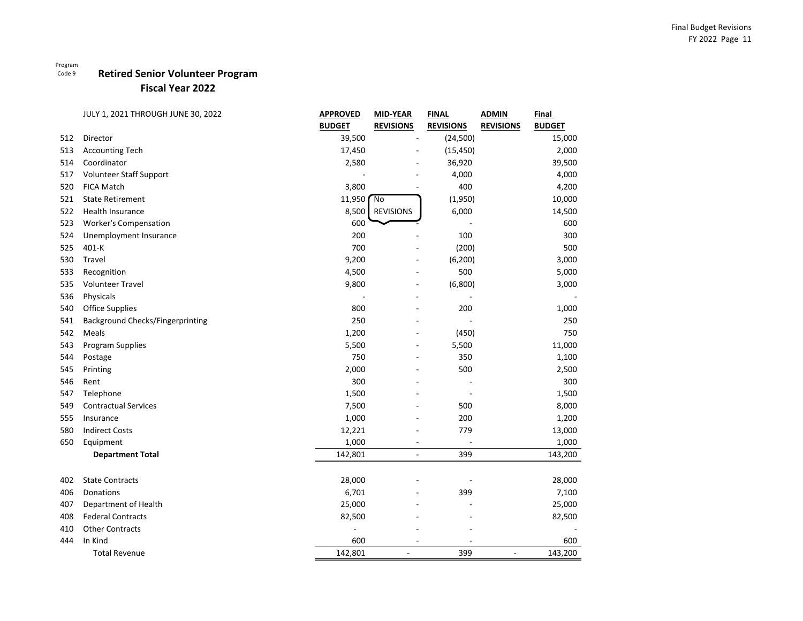## **Retired Senior Volunteer Program**

**Fiscal Year 2022**

|     | JULY 1, 2021 THROUGH JUNE 30, 2022 | <b>APPROVED</b> | <b>MID-YEAR</b>  | <b>FINAL</b>     | <b>ADMIN</b>     | Final         |
|-----|------------------------------------|-----------------|------------------|------------------|------------------|---------------|
|     |                                    | <b>BUDGET</b>   | <b>REVISIONS</b> | <b>REVISIONS</b> | <b>REVISIONS</b> | <b>BUDGET</b> |
| 512 | Director                           | 39,500          | $\overline{a}$   | (24, 500)        |                  | 15,000        |
| 513 | <b>Accounting Tech</b>             | 17,450          |                  | (15, 450)        |                  | 2,000         |
| 514 | Coordinator                        | 2,580           |                  | 36,920           |                  | 39,500        |
| 517 | Volunteer Staff Support            |                 |                  | 4,000            |                  | 4,000         |
| 520 | <b>FICA Match</b>                  | 3,800           |                  | 400              |                  | 4,200         |
| 521 | <b>State Retirement</b>            | 11,950          | $\sqrt{2}$       | (1,950)          |                  | 10,000        |
| 522 | Health Insurance                   | 8,500           | <b>REVISIONS</b> | 6,000            |                  | 14,500        |
| 523 | <b>Worker's Compensation</b>       | 600             |                  |                  |                  | 600           |
| 524 | Unemployment Insurance             | 200             |                  | 100              |                  | 300           |
| 525 | 401-K                              | 700             |                  | (200)            |                  | 500           |
| 530 | Travel                             | 9,200           |                  | (6, 200)         |                  | 3,000         |
| 533 | Recognition                        | 4,500           |                  | 500              |                  | 5,000         |
| 535 | <b>Volunteer Travel</b>            | 9,800           | $\overline{a}$   | (6,800)          |                  | 3,000         |
| 536 | Physicals                          |                 |                  |                  |                  |               |
| 540 | <b>Office Supplies</b>             | 800             |                  | 200              |                  | 1,000         |
| 541 | Background Checks/Fingerprinting   | 250             |                  |                  |                  | 250           |
| 542 | Meals                              | 1,200           |                  | (450)            |                  | 750           |
| 543 | Program Supplies                   | 5,500           |                  | 5,500            |                  | 11,000        |
| 544 | Postage                            | 750             |                  | 350              |                  | 1,100         |
| 545 | Printing                           | 2,000           |                  | 500              |                  | 2,500         |
| 546 | Rent                               | 300             |                  |                  |                  | 300           |
| 547 | Telephone                          | 1,500           |                  |                  |                  | 1,500         |
| 549 | <b>Contractual Services</b>        | 7,500           |                  | 500              |                  | 8,000         |
| 555 | Insurance                          | 1,000           |                  | 200              |                  | 1,200         |
| 580 | <b>Indirect Costs</b>              | 12,221          |                  | 779              |                  | 13,000        |
| 650 | Equipment                          | 1,000           |                  |                  |                  | 1,000         |
|     | <b>Department Total</b>            | 142,801         | L,               | 399              |                  | 143,200       |
| 402 | <b>State Contracts</b>             | 28,000          |                  |                  |                  | 28,000        |
| 406 | Donations                          | 6,701           |                  | 399              |                  | 7,100         |
| 407 | Department of Health               | 25,000          |                  |                  |                  | 25,000        |
| 408 | <b>Federal Contracts</b>           | 82,500          |                  |                  |                  | 82,500        |
| 410 | <b>Other Contracts</b>             |                 |                  |                  |                  |               |
| 444 | In Kind                            | 600             |                  |                  |                  | 600           |
|     | <b>Total Revenue</b>               | 142,801         |                  | 399              | ÷,               | 143,200       |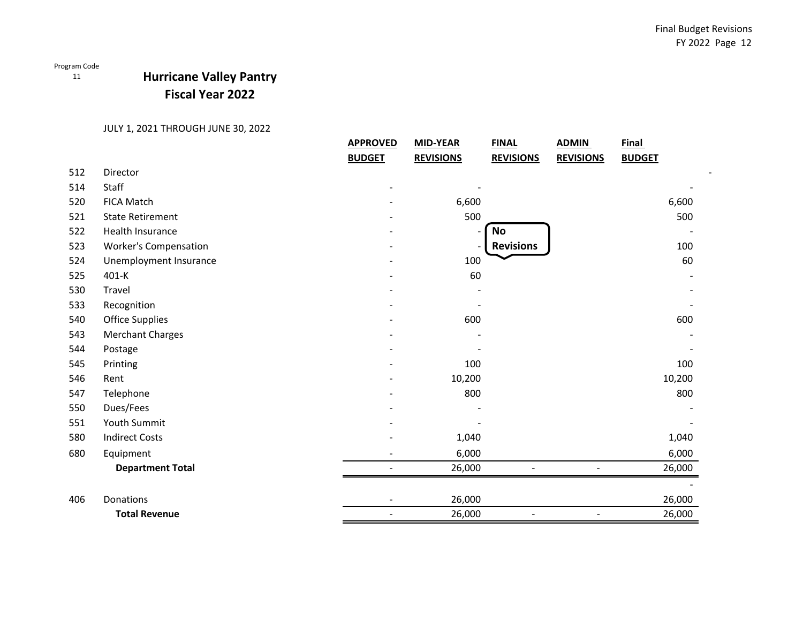11

## **Hurricane Valley Pantry Fiscal Year 2022**

|     |                              | <b>APPROVED</b> | <b>MID-YEAR</b>  | <b>FINAL</b>     | <b>ADMIN</b>     | <b>Final</b>  |        |
|-----|------------------------------|-----------------|------------------|------------------|------------------|---------------|--------|
|     |                              | <b>BUDGET</b>   | <b>REVISIONS</b> | <b>REVISIONS</b> | <b>REVISIONS</b> | <b>BUDGET</b> |        |
| 512 | Director                     |                 |                  |                  |                  |               |        |
| 514 | Staff                        |                 |                  |                  |                  |               |        |
| 520 | <b>FICA Match</b>            |                 | 6,600            |                  |                  |               | 6,600  |
| 521 | <b>State Retirement</b>      |                 | 500              |                  |                  |               | 500    |
| 522 | Health Insurance             |                 |                  | <b>No</b>        |                  |               |        |
| 523 | <b>Worker's Compensation</b> |                 |                  | <b>Revisions</b> |                  |               | 100    |
| 524 | Unemployment Insurance       |                 | 100              |                  |                  |               | 60     |
| 525 | $401-K$                      |                 | 60               |                  |                  |               |        |
| 530 | Travel                       |                 |                  |                  |                  |               |        |
| 533 | Recognition                  |                 |                  |                  |                  |               |        |
| 540 | <b>Office Supplies</b>       |                 | 600              |                  |                  |               | 600    |
| 543 | <b>Merchant Charges</b>      |                 |                  |                  |                  |               |        |
| 544 | Postage                      |                 |                  |                  |                  |               |        |
| 545 | Printing                     |                 | 100              |                  |                  |               | 100    |
| 546 | Rent                         |                 | 10,200           |                  |                  |               | 10,200 |
| 547 | Telephone                    |                 | 800              |                  |                  |               | 800    |
| 550 | Dues/Fees                    |                 |                  |                  |                  |               |        |
| 551 | <b>Youth Summit</b>          |                 |                  |                  |                  |               |        |
| 580 | <b>Indirect Costs</b>        |                 | 1,040            |                  |                  |               | 1,040  |
| 680 | Equipment                    |                 | 6,000            |                  |                  |               | 6,000  |
|     | <b>Department Total</b>      |                 | 26,000           |                  |                  |               | 26,000 |
|     |                              |                 |                  |                  |                  |               |        |
| 406 | Donations                    |                 | 26,000           |                  |                  |               | 26,000 |
|     | <b>Total Revenue</b>         | $\sim$          | 26,000           | $\blacksquare$   | $\blacksquare$   |               | 26,000 |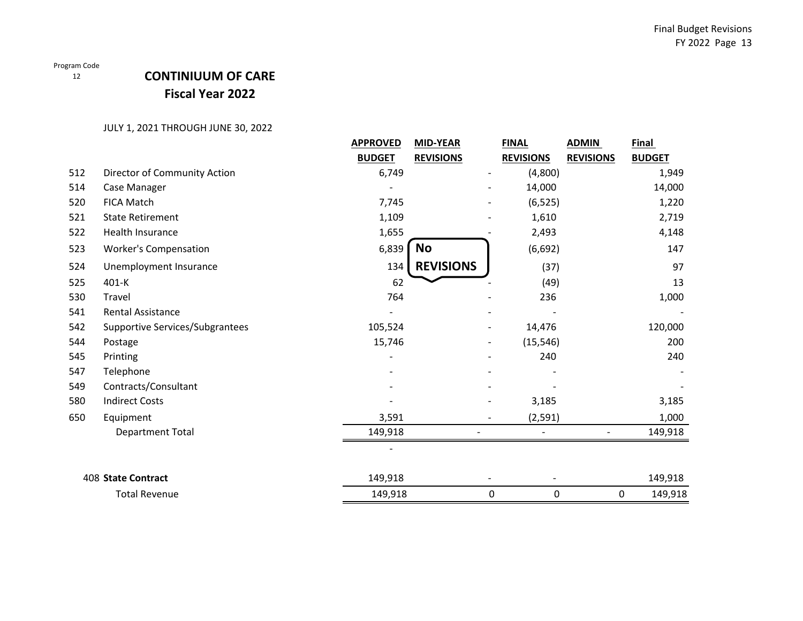12

## **CONTINIUUM OF CARE Fiscal Year 2022**

|     |                                 | <b>APPROVED</b> | <b>MID-YEAR</b>  | <b>FINAL</b>     | <b>ADMIN</b>     | <b>Final</b>  |
|-----|---------------------------------|-----------------|------------------|------------------|------------------|---------------|
|     |                                 | <b>BUDGET</b>   | <b>REVISIONS</b> | <b>REVISIONS</b> | <b>REVISIONS</b> | <b>BUDGET</b> |
| 512 | Director of Community Action    | 6,749           |                  | (4,800)          |                  | 1,949         |
| 514 | Case Manager                    |                 |                  | 14,000           |                  | 14,000        |
| 520 | <b>FICA Match</b>               | 7,745           |                  | (6, 525)         |                  | 1,220         |
| 521 | <b>State Retirement</b>         | 1,109           |                  | 1,610            |                  | 2,719         |
| 522 | Health Insurance                | 1,655           |                  | 2,493            |                  | 4,148         |
| 523 | <b>Worker's Compensation</b>    | 6,839           | <b>No</b>        | (6, 692)         |                  | 147           |
| 524 | Unemployment Insurance          | 134             | <b>REVISIONS</b> | (37)             |                  | 97            |
| 525 | 401-K                           | 62              |                  | (49)             |                  | 13            |
| 530 | Travel                          | 764             |                  | 236              |                  | 1,000         |
| 541 | <b>Rental Assistance</b>        |                 |                  |                  |                  |               |
| 542 | Supportive Services/Subgrantees | 105,524         |                  | 14,476           |                  | 120,000       |
| 544 | Postage                         | 15,746          |                  | (15, 546)        |                  | 200           |
| 545 | Printing                        |                 |                  | 240              |                  | 240           |
| 547 | Telephone                       |                 |                  |                  |                  |               |
| 549 | Contracts/Consultant            |                 |                  |                  |                  |               |
| 580 | <b>Indirect Costs</b>           |                 |                  | 3,185            |                  | 3,185         |
| 650 | Equipment                       | 3,591           |                  | (2, 591)         |                  | 1,000         |
|     | <b>Department Total</b>         | 149,918         |                  |                  |                  | 149,918       |
|     |                                 |                 |                  |                  |                  |               |
|     | <b>408 State Contract</b>       | 149,918         |                  |                  |                  | 149,918       |
|     | <b>Total Revenue</b>            | 149,918         |                  | 0<br>0           | 0                | 149,918       |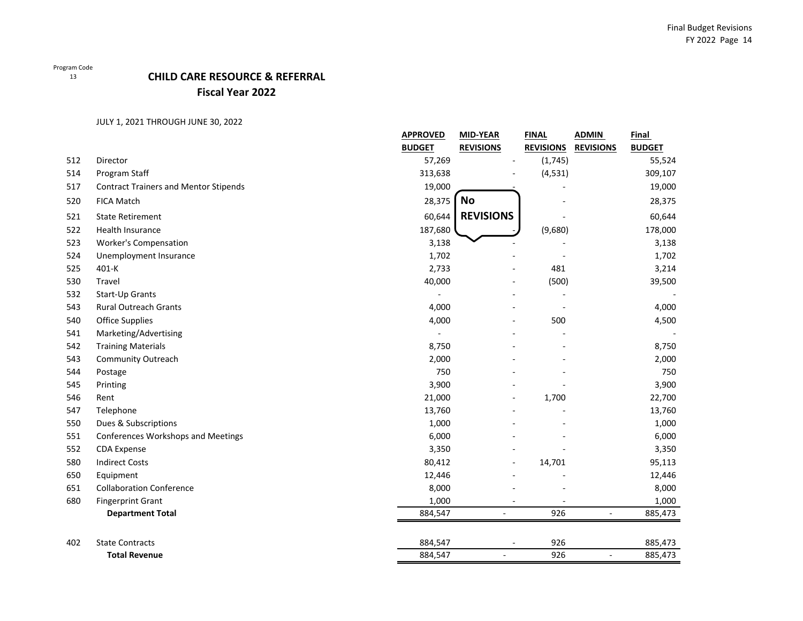### 13

## **CHILD CARE RESOURCE & REFERRAL Fiscal Year 2022**

|     |                                              | <b>APPROVED</b><br><b>BUDGET</b> | MID-YEAR<br><b>REVISIONS</b> | <b>FINAL</b><br><b>REVISIONS</b> | <b>ADMIN</b><br><b>REVISIONS</b> | Final<br><b>BUDGET</b> |
|-----|----------------------------------------------|----------------------------------|------------------------------|----------------------------------|----------------------------------|------------------------|
| 512 | Director                                     | 57,269                           |                              | (1,745)                          |                                  | 55,524                 |
| 514 | Program Staff                                | 313,638                          |                              | (4, 531)                         |                                  | 309,107                |
| 517 | <b>Contract Trainers and Mentor Stipends</b> | 19,000                           |                              |                                  |                                  | 19,000                 |
| 520 | <b>FICA Match</b>                            | 28,375                           | <b>No</b>                    |                                  |                                  | 28,375                 |
| 521 | <b>State Retirement</b>                      | 60,644                           | <b>REVISIONS</b>             |                                  |                                  | 60,644                 |
| 522 | <b>Health Insurance</b>                      | 187,680                          |                              | (9,680)                          |                                  | 178,000                |
| 523 | <b>Worker's Compensation</b>                 | 3,138                            |                              |                                  |                                  | 3,138                  |
| 524 | Unemployment Insurance                       | 1,702                            |                              |                                  |                                  | 1,702                  |
| 525 | 401-K                                        | 2,733                            |                              | 481                              |                                  | 3,214                  |
| 530 | Travel                                       | 40,000                           |                              | (500)                            |                                  | 39,500                 |
| 532 | Start-Up Grants                              |                                  |                              |                                  |                                  |                        |
| 543 | <b>Rural Outreach Grants</b>                 | 4,000                            |                              |                                  |                                  | 4,000                  |
| 540 | Office Supplies                              | 4,000                            |                              | 500                              |                                  | 4,500                  |
| 541 | Marketing/Advertising                        |                                  |                              |                                  |                                  |                        |
| 542 | <b>Training Materials</b>                    | 8,750                            |                              |                                  |                                  | 8,750                  |
| 543 | <b>Community Outreach</b>                    | 2,000                            |                              |                                  |                                  | 2,000                  |
| 544 | Postage                                      | 750                              |                              |                                  |                                  | 750                    |
| 545 | Printing                                     | 3,900                            |                              |                                  |                                  | 3,900                  |
| 546 | Rent                                         | 21,000                           |                              | 1,700                            |                                  | 22,700                 |
| 547 | Telephone                                    | 13,760                           |                              |                                  |                                  | 13,760                 |
| 550 | Dues & Subscriptions                         | 1,000                            |                              |                                  |                                  | 1,000                  |
| 551 | Conferences Workshops and Meetings           | 6,000                            |                              |                                  |                                  | 6,000                  |
| 552 | CDA Expense                                  | 3,350                            |                              |                                  |                                  | 3,350                  |
| 580 | <b>Indirect Costs</b>                        | 80,412                           |                              | 14,701                           |                                  | 95,113                 |
| 650 | Equipment                                    | 12,446                           |                              |                                  |                                  | 12,446                 |
| 651 | <b>Collaboration Conference</b>              | 8,000                            |                              |                                  |                                  | 8,000                  |
| 680 | <b>Fingerprint Grant</b>                     | 1,000                            |                              |                                  |                                  | 1,000                  |
|     | <b>Department Total</b>                      | 884,547                          | $\blacksquare$               | 926                              | $\blacksquare$                   | 885,473                |
| 402 | <b>State Contracts</b>                       | 884,547                          | $\overline{\phantom{a}}$     | 926                              |                                  | 885,473                |
|     | <b>Total Revenue</b>                         | 884,547                          | ÷,                           | 926                              | ÷,                               | 885,473                |
|     |                                              |                                  |                              |                                  |                                  |                        |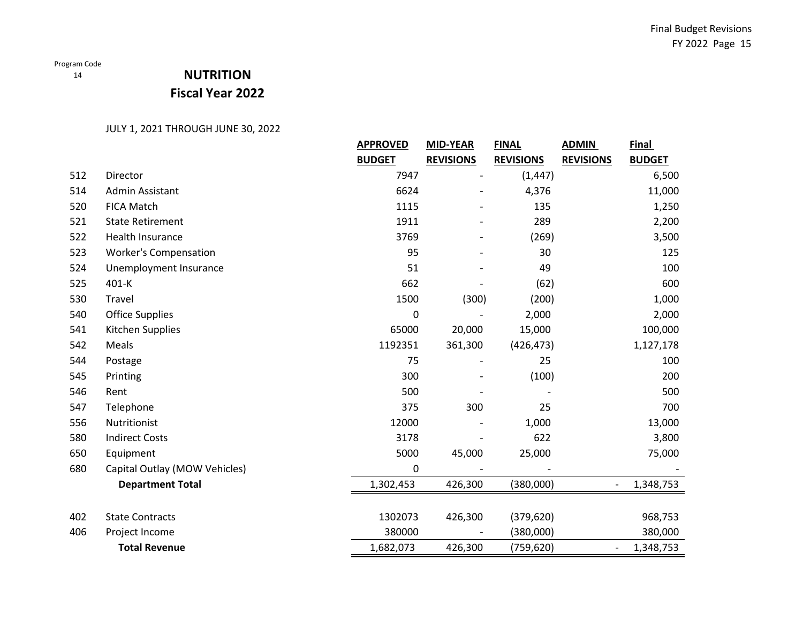# **NUTRITION Fiscal Year 2022**

|     |                               | <b>APPROVED</b> | <b>MID-YEAR</b>  | <b>FINAL</b>     | <b>ADMIN</b>                 | <b>Final</b>  |
|-----|-------------------------------|-----------------|------------------|------------------|------------------------------|---------------|
|     |                               | <b>BUDGET</b>   | <b>REVISIONS</b> | <b>REVISIONS</b> | <b>REVISIONS</b>             | <b>BUDGET</b> |
| 512 | Director                      | 7947            |                  | (1, 447)         |                              | 6,500         |
| 514 | Admin Assistant               | 6624            |                  | 4,376            |                              | 11,000        |
| 520 | <b>FICA Match</b>             | 1115            |                  | 135              |                              | 1,250         |
| 521 | <b>State Retirement</b>       | 1911            |                  | 289              |                              | 2,200         |
| 522 | Health Insurance              | 3769            |                  | (269)            |                              | 3,500         |
| 523 | <b>Worker's Compensation</b>  | 95              |                  | 30               |                              | 125           |
| 524 | Unemployment Insurance        | 51              |                  | 49               |                              | 100           |
| 525 | 401-K                         | 662             |                  | (62)             |                              | 600           |
| 530 | Travel                        | 1500            | (300)            | (200)            |                              | 1,000         |
| 540 | <b>Office Supplies</b>        | 0               |                  | 2,000            |                              | 2,000         |
| 541 | Kitchen Supplies              | 65000           | 20,000           | 15,000           |                              | 100,000       |
| 542 | Meals                         | 1192351         | 361,300          | (426, 473)       |                              | 1,127,178     |
| 544 | Postage                       | 75              |                  | 25               |                              | 100           |
| 545 | Printing                      | 300             |                  | (100)            |                              | 200           |
| 546 | Rent                          | 500             |                  |                  |                              | 500           |
| 547 | Telephone                     | 375             | 300              | 25               |                              | 700           |
| 556 | Nutritionist                  | 12000           |                  | 1,000            |                              | 13,000        |
| 580 | <b>Indirect Costs</b>         | 3178            |                  | 622              |                              | 3,800         |
| 650 | Equipment                     | 5000            | 45,000           | 25,000           |                              | 75,000        |
| 680 | Capital Outlay (MOW Vehicles) | 0               |                  |                  |                              |               |
|     | <b>Department Total</b>       | 1,302,453       | 426,300          | (380,000)        | $\overline{\phantom{a}}$     | 1,348,753     |
|     |                               |                 |                  |                  |                              |               |
| 402 | <b>State Contracts</b>        | 1302073         | 426,300          | (379, 620)       |                              | 968,753       |
| 406 | Project Income                | 380000          |                  | (380,000)        |                              | 380,000       |
|     | <b>Total Revenue</b>          | 1,682,073       | 426,300          | (759, 620)       | $\qquad \qquad \blacksquare$ | 1,348,753     |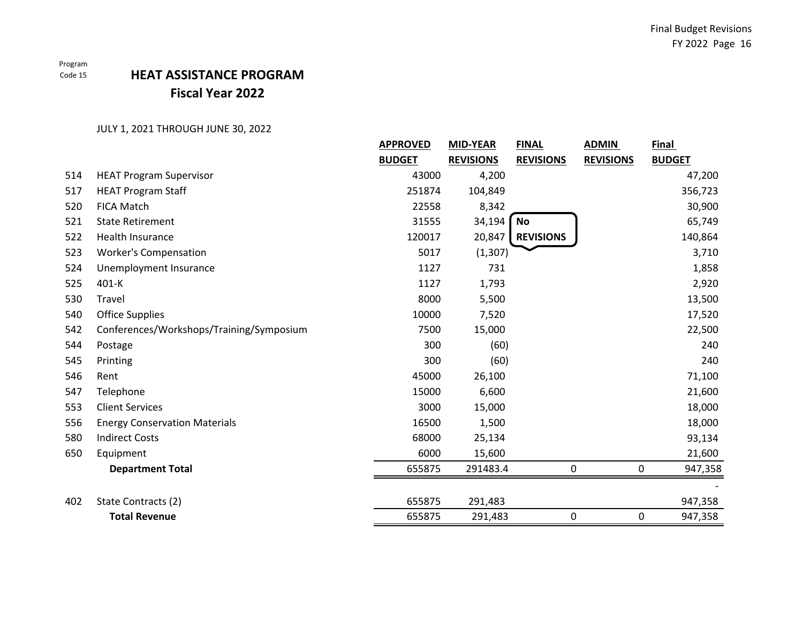# **HEAT ASSISTANCE PROGRAM Fiscal Year 2022**

|     |                                          | <b>APPROVED</b> | <b>MID-YEAR</b>  | <b>FINAL</b>     | <b>ADMIN</b>     | Final         |
|-----|------------------------------------------|-----------------|------------------|------------------|------------------|---------------|
|     |                                          | <b>BUDGET</b>   | <b>REVISIONS</b> | <b>REVISIONS</b> | <b>REVISIONS</b> | <b>BUDGET</b> |
| 514 | <b>HEAT Program Supervisor</b>           | 43000           | 4,200            |                  |                  | 47,200        |
| 517 | <b>HEAT Program Staff</b>                | 251874          | 104,849          |                  |                  | 356,723       |
| 520 | <b>FICA Match</b>                        | 22558           | 8,342            |                  |                  | 30,900        |
| 521 | <b>State Retirement</b>                  | 31555           | 34,194           | No               |                  | 65,749        |
| 522 | Health Insurance                         | 120017          | 20,847           | <b>REVISIONS</b> |                  | 140,864       |
| 523 | <b>Worker's Compensation</b>             | 5017            | (1, 307)         |                  |                  | 3,710         |
| 524 | Unemployment Insurance                   | 1127            | 731              |                  |                  | 1,858         |
| 525 | $401-K$                                  | 1127            | 1,793            |                  |                  | 2,920         |
| 530 | Travel                                   | 8000            | 5,500            |                  |                  | 13,500        |
| 540 | <b>Office Supplies</b>                   | 10000           | 7,520            |                  |                  | 17,520        |
| 542 | Conferences/Workshops/Training/Symposium | 7500            | 15,000           |                  |                  | 22,500        |
| 544 | Postage                                  | 300             | (60)             |                  |                  | 240           |
| 545 | Printing                                 | 300             | (60)             |                  |                  | 240           |
| 546 | Rent                                     | 45000           | 26,100           |                  |                  | 71,100        |
| 547 | Telephone                                | 15000           | 6,600            |                  |                  | 21,600        |
| 553 | <b>Client Services</b>                   | 3000            | 15,000           |                  |                  | 18,000        |
| 556 | <b>Energy Conservation Materials</b>     | 16500           | 1,500            |                  |                  | 18,000        |
| 580 | <b>Indirect Costs</b>                    | 68000           | 25,134           |                  |                  | 93,134        |
| 650 | Equipment                                | 6000            | 15,600           |                  |                  | 21,600        |
|     | <b>Department Total</b>                  | 655875          | 291483.4         | 0                |                  | 947,358<br>0  |
|     |                                          |                 |                  |                  |                  |               |
| 402 | State Contracts (2)                      | 655875          | 291,483          |                  |                  | 947,358       |
|     | <b>Total Revenue</b>                     | 655875          | 291,483          | 0                |                  | 0<br>947,358  |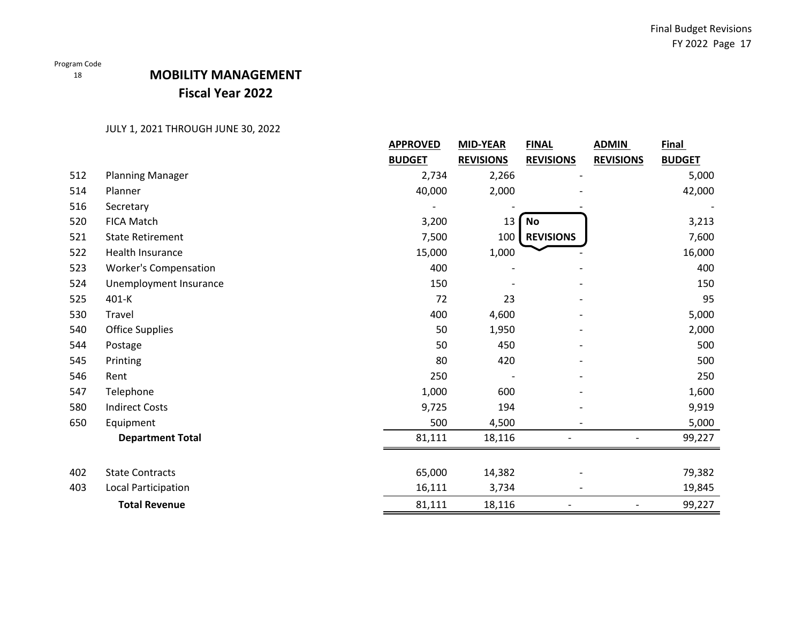18

## **MOBILITY MANAGEMENT Fiscal Year 2022**

|     |                              | <b>APPROVED</b> | <b>MID-YEAR</b>  | <b>FINAL</b>             | <b>ADMIN</b>             | Final         |
|-----|------------------------------|-----------------|------------------|--------------------------|--------------------------|---------------|
|     |                              | <b>BUDGET</b>   | <b>REVISIONS</b> | <b>REVISIONS</b>         | <b>REVISIONS</b>         | <b>BUDGET</b> |
| 512 | <b>Planning Manager</b>      | 2,734           | 2,266            |                          |                          | 5,000         |
| 514 | Planner                      | 40,000          | 2,000            |                          |                          | 42,000        |
| 516 | Secretary                    |                 |                  |                          |                          |               |
| 520 | <b>FICA Match</b>            | 3,200           | 13               | No                       |                          | 3,213         |
| 521 | <b>State Retirement</b>      | 7,500           | 100              | <b>REVISIONS</b>         |                          | 7,600         |
| 522 | Health Insurance             | 15,000          | 1,000            |                          |                          | 16,000        |
| 523 | <b>Worker's Compensation</b> | 400             |                  |                          |                          | 400           |
| 524 | Unemployment Insurance       | 150             |                  |                          |                          | 150           |
| 525 | 401-K                        | 72              | 23               |                          |                          | 95            |
| 530 | Travel                       | 400             | 4,600            |                          |                          | 5,000         |
| 540 | <b>Office Supplies</b>       | 50              | 1,950            |                          |                          | 2,000         |
| 544 | Postage                      | 50              | 450              |                          |                          | 500           |
| 545 | Printing                     | 80              | 420              |                          |                          | 500           |
| 546 | Rent                         | 250             |                  |                          |                          | 250           |
| 547 | Telephone                    | 1,000           | 600              |                          |                          | 1,600         |
| 580 | <b>Indirect Costs</b>        | 9,725           | 194              |                          |                          | 9,919         |
| 650 | Equipment                    | 500             | 4,500            | $\overline{\phantom{a}}$ |                          | 5,000         |
|     | <b>Department Total</b>      | 81,111          | 18,116           |                          |                          | 99,227        |
|     |                              |                 |                  |                          |                          |               |
| 402 | <b>State Contracts</b>       | 65,000          | 14,382           |                          |                          | 79,382        |
| 403 | Local Participation          | 16,111          | 3,734            |                          |                          | 19,845        |
|     | <b>Total Revenue</b>         | 81,111          | 18,116           |                          | $\overline{\phantom{a}}$ | 99,227        |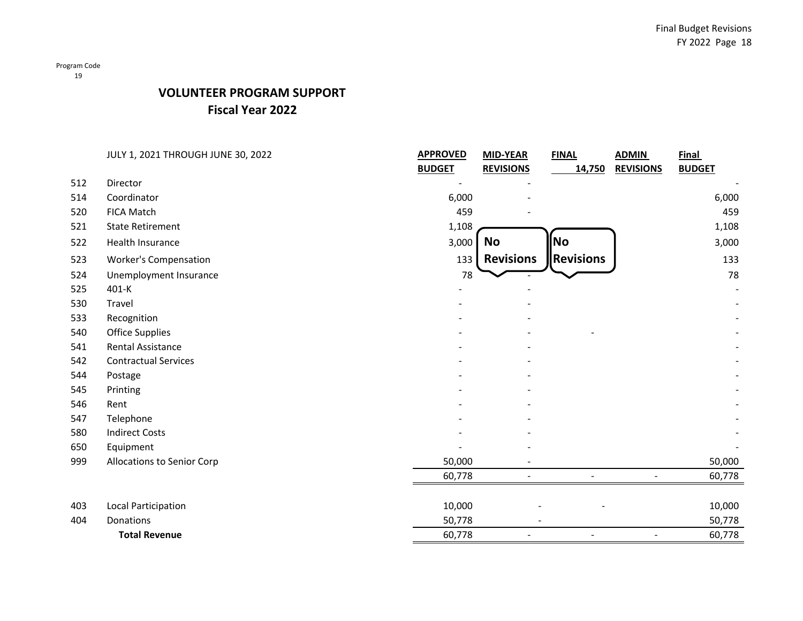## **VOLUNTEER PROGRAM SUPPORT Fiscal Year 2022**

|     | JULY 1, 2021 THROUGH JUNE 30, 2022 | <b>APPROVED</b> | <b>MID-YEAR</b>  | <b>FINAL</b>     | <b>ADMIN</b>     | <b>Final</b>  |
|-----|------------------------------------|-----------------|------------------|------------------|------------------|---------------|
|     |                                    | <b>BUDGET</b>   | <b>REVISIONS</b> | 14,750           | <b>REVISIONS</b> | <b>BUDGET</b> |
| 512 | Director                           |                 |                  |                  |                  |               |
| 514 | Coordinator                        | 6,000           |                  |                  |                  | 6,000         |
| 520 | <b>FICA Match</b>                  | 459             |                  |                  |                  | 459           |
| 521 | <b>State Retirement</b>            | 1,108           |                  |                  |                  | 1,108         |
| 522 | Health Insurance                   | 3,000           | No               | No               |                  | 3,000         |
| 523 | <b>Worker's Compensation</b>       | 133             | <b>Revisions</b> | <b>Revisions</b> |                  | 133           |
| 524 | Unemployment Insurance             | 78              |                  |                  |                  | 78            |
| 525 | 401-K                              |                 |                  |                  |                  |               |
| 530 | Travel                             |                 |                  |                  |                  |               |
| 533 | Recognition                        |                 |                  |                  |                  |               |
| 540 | <b>Office Supplies</b>             |                 |                  |                  |                  |               |
| 541 | Rental Assistance                  |                 |                  |                  |                  |               |
| 542 | <b>Contractual Services</b>        |                 |                  |                  |                  |               |
| 544 | Postage                            |                 |                  |                  |                  |               |
| 545 | Printing                           |                 |                  |                  |                  |               |
| 546 | Rent                               |                 |                  |                  |                  |               |
| 547 | Telephone                          |                 |                  |                  |                  |               |
| 580 | <b>Indirect Costs</b>              |                 |                  |                  |                  |               |
| 650 | Equipment                          |                 |                  |                  |                  |               |
| 999 | Allocations to Senior Corp         | 50,000          |                  |                  |                  | 50,000        |
|     |                                    | 60,778          | $\blacksquare$   | $\blacksquare$   | $\blacksquare$   | 60,778        |
|     |                                    |                 |                  |                  |                  |               |
| 403 | Local Participation                | 10,000          |                  |                  |                  | 10,000        |
| 404 | Donations                          | 50,778          |                  |                  |                  | 50,778        |
|     | <b>Total Revenue</b>               | 60,778          |                  |                  | $\blacksquare$   | 60,778        |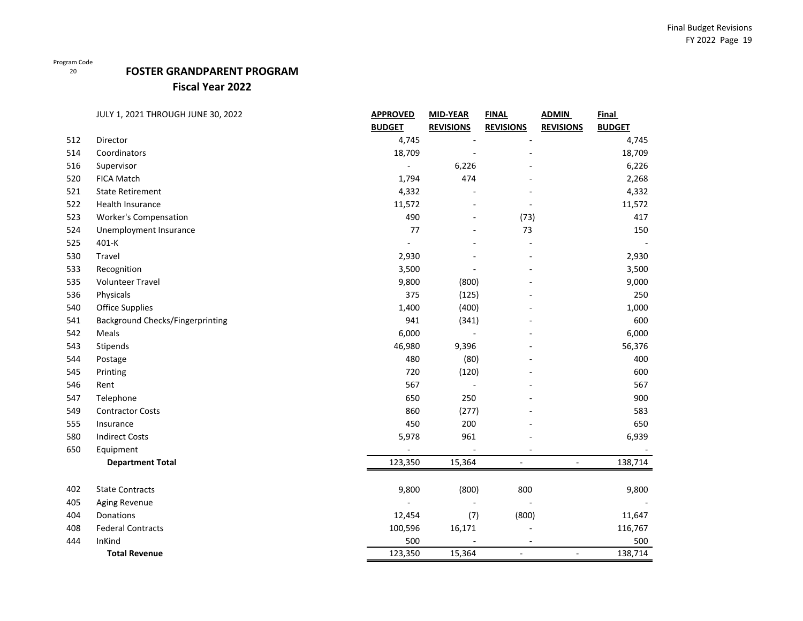## **FOSTER GRANDPARENT PROGRAM**

**Fiscal Year 2022**

|     | JULY 1, 2021 THROUGH JUNE 30, 2022      | <b>APPROVED</b> | <b>MID-YEAR</b>  | <b>FINAL</b>     | <b>ADMIN</b>     | Final         |
|-----|-----------------------------------------|-----------------|------------------|------------------|------------------|---------------|
|     |                                         | <b>BUDGET</b>   | <b>REVISIONS</b> | <b>REVISIONS</b> | <b>REVISIONS</b> | <b>BUDGET</b> |
| 512 | Director                                | 4,745           |                  |                  |                  | 4,745         |
| 514 | Coordinators                            | 18,709          |                  |                  |                  | 18,709        |
| 516 | Supervisor                              |                 | 6,226            |                  |                  | 6,226         |
| 520 | <b>FICA Match</b>                       | 1,794           | 474              |                  |                  | 2,268         |
| 521 | <b>State Retirement</b>                 | 4,332           |                  |                  |                  | 4,332         |
| 522 | Health Insurance                        | 11,572          |                  |                  |                  | 11,572        |
| 523 | <b>Worker's Compensation</b>            | 490             |                  | (73)             |                  | 417           |
| 524 | Unemployment Insurance                  | 77              |                  | 73               |                  | 150           |
| 525 | 401-K                                   |                 |                  |                  |                  |               |
| 530 | Travel                                  | 2,930           |                  |                  |                  | 2,930         |
| 533 | Recognition                             | 3,500           |                  |                  |                  | 3,500         |
| 535 | <b>Volunteer Travel</b>                 | 9,800           | (800)            |                  |                  | 9,000         |
| 536 | Physicals                               | 375             | (125)            |                  |                  | 250           |
| 540 | <b>Office Supplies</b>                  | 1,400           | (400)            |                  |                  | 1,000         |
| 541 | <b>Background Checks/Fingerprinting</b> | 941             | (341)            |                  |                  | 600           |
| 542 | Meals                                   | 6,000           |                  |                  |                  | 6,000         |
| 543 | Stipends                                | 46,980          | 9,396            |                  |                  | 56,376        |
| 544 | Postage                                 | 480             | (80)             |                  |                  | 400           |
| 545 | Printing                                | 720             | (120)            |                  |                  | 600           |
| 546 | Rent                                    | 567             |                  |                  |                  | 567           |
| 547 | Telephone                               | 650             | 250              |                  |                  | 900           |
| 549 | <b>Contractor Costs</b>                 | 860             | (277)            |                  |                  | 583           |
| 555 | Insurance                               | 450             | 200              |                  |                  | 650           |
| 580 | <b>Indirect Costs</b>                   | 5,978           | 961              |                  |                  | 6,939         |
| 650 | Equipment                               |                 |                  |                  |                  |               |
|     | <b>Department Total</b>                 | 123,350         | 15,364           | ٠                | $\blacksquare$   | 138,714       |
| 402 | <b>State Contracts</b>                  | 9,800           | (800)            | 800              |                  | 9,800         |
| 405 | Aging Revenue                           |                 |                  |                  |                  |               |
| 404 | Donations                               | 12,454          | (7)              | (800)            |                  | 11,647        |
| 408 | <b>Federal Contracts</b>                | 100,596         | 16,171           |                  |                  | 116,767       |
| 444 | InKind                                  | 500             |                  |                  |                  | 500           |
|     | <b>Total Revenue</b>                    | 123,350         | 15,364           | $\blacksquare$   | $\blacksquare$   | 138,714       |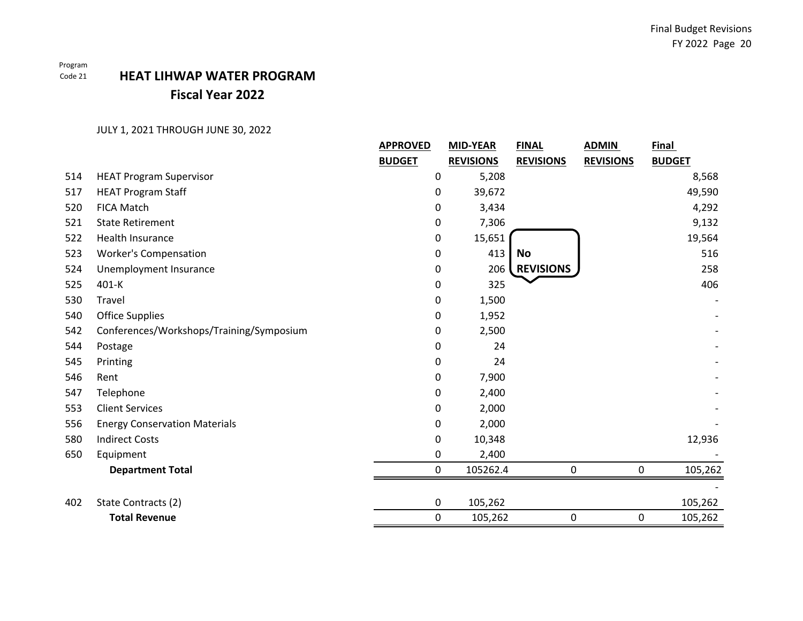Program

## Code 21 **HEAT LIHWAP WATER PROGRAMFiscal Year 2022**

|     |                                          | <b>APPROVED</b> | <b>MID-YEAR</b>  | <b>FINAL</b>     | <b>ADMIN</b>     | Final         |
|-----|------------------------------------------|-----------------|------------------|------------------|------------------|---------------|
|     |                                          | <b>BUDGET</b>   | <b>REVISIONS</b> | <b>REVISIONS</b> | <b>REVISIONS</b> | <b>BUDGET</b> |
| 514 | <b>HEAT Program Supervisor</b>           | 0               | 5,208            |                  |                  | 8,568         |
| 517 | <b>HEAT Program Staff</b>                | 0               | 39,672           |                  |                  | 49,590        |
| 520 | <b>FICA Match</b>                        | 0               | 3,434            |                  |                  | 4,292         |
| 521 | <b>State Retirement</b>                  | 0               | 7,306            |                  |                  | 9,132         |
| 522 | <b>Health Insurance</b>                  | 0               | 15,651           |                  |                  | 19,564        |
| 523 | <b>Worker's Compensation</b>             | 0               | 413              | <b>No</b>        |                  | 516           |
| 524 | Unemployment Insurance                   | 0               | 206              | <b>REVISIONS</b> |                  | 258           |
| 525 | 401-K                                    | 0               | 325              |                  |                  | 406           |
| 530 | Travel                                   | 0               | 1,500            |                  |                  |               |
| 540 | <b>Office Supplies</b>                   | 0               | 1,952            |                  |                  |               |
| 542 | Conferences/Workshops/Training/Symposium | 0               | 2,500            |                  |                  |               |
| 544 | Postage                                  | 0               | 24               |                  |                  |               |
| 545 | Printing                                 | 0               | 24               |                  |                  |               |
| 546 | Rent                                     | 0               | 7,900            |                  |                  |               |
| 547 | Telephone                                | 0               | 2,400            |                  |                  |               |
| 553 | <b>Client Services</b>                   | 0               | 2,000            |                  |                  |               |
| 556 | <b>Energy Conservation Materials</b>     | 0               | 2,000            |                  |                  |               |
| 580 | <b>Indirect Costs</b>                    | 0               | 10,348           |                  |                  | 12,936        |
| 650 | Equipment                                | 0               | 2,400            |                  |                  |               |
|     | <b>Department Total</b>                  | 0               | 105262.4         | 0                | $\mathbf 0$      | 105,262       |
|     |                                          |                 |                  |                  |                  |               |
| 402 | State Contracts (2)                      | 0               | 105,262          |                  |                  | 105,262       |
|     | <b>Total Revenue</b>                     | $\pmb{0}$       | 105,262          | 0                | 0                | 105,262       |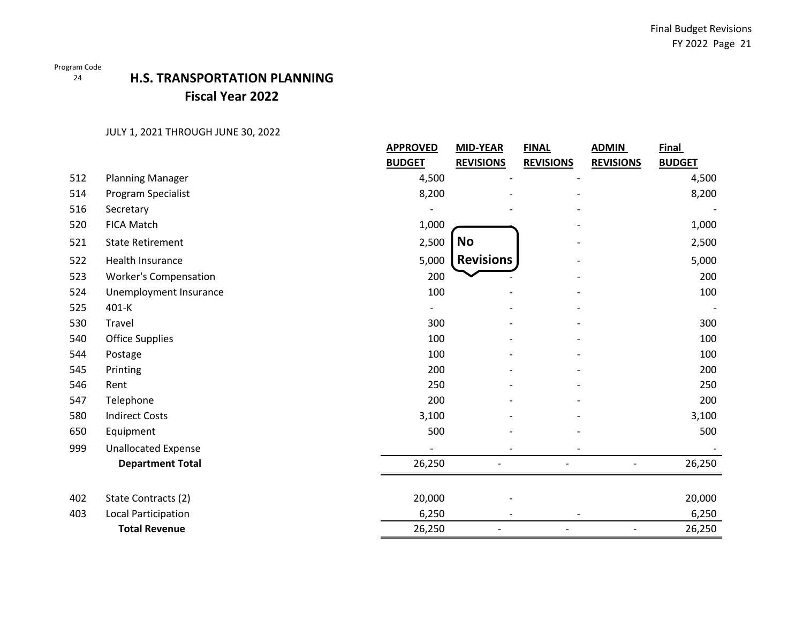### 24

# **H.S. TRANSPORTATION PLANNING Fiscal Year 2022**

|     |                              | <b>APPROVED</b> | <b>MID-YEAR</b>  | <b>ADMIN</b><br><b>FINAL</b> | <b>Final</b>                      |
|-----|------------------------------|-----------------|------------------|------------------------------|-----------------------------------|
|     |                              | <b>BUDGET</b>   | <b>REVISIONS</b> | <b>REVISIONS</b>             | <b>REVISIONS</b><br><b>BUDGET</b> |
| 512 | <b>Planning Manager</b>      | 4,500           |                  |                              | 4,500                             |
| 514 | Program Specialist           | 8,200           |                  |                              | 8,200                             |
| 516 | Secretary                    |                 |                  |                              |                                   |
| 520 | FICA Match                   | 1,000           |                  |                              | 1,000                             |
| 521 | <b>State Retirement</b>      | 2,500           | <b>No</b>        |                              | 2,500                             |
| 522 | Health Insurance             | 5,000           | <b>Revisions</b> |                              | 5,000                             |
| 523 | <b>Worker's Compensation</b> | 200             |                  |                              | 200                               |
| 524 | Unemployment Insurance       | 100             |                  |                              | 100                               |
| 525 | 401-K                        |                 |                  |                              |                                   |
| 530 | Travel                       | 300             |                  |                              | 300                               |
| 540 | <b>Office Supplies</b>       | 100             |                  |                              | 100                               |
| 544 | Postage                      | 100             |                  |                              | 100                               |
| 545 | Printing                     | 200             |                  |                              | 200                               |
| 546 | Rent                         | 250             |                  |                              | 250                               |
| 547 | Telephone                    | 200             |                  |                              | 200                               |
| 580 | <b>Indirect Costs</b>        | 3,100           |                  |                              | 3,100                             |
| 650 | Equipment                    | 500             |                  |                              | 500                               |
| 999 | <b>Unallocated Expense</b>   |                 |                  |                              |                                   |
|     | <b>Department Total</b>      | 26,250          |                  |                              | 26,250                            |
|     |                              |                 |                  |                              |                                   |
| 402 | State Contracts (2)          | 20,000          |                  |                              | 20,000                            |
| 403 | Local Participation          | 6,250           |                  |                              | 6,250                             |
|     | <b>Total Revenue</b>         | 26,250          |                  |                              | 26,250                            |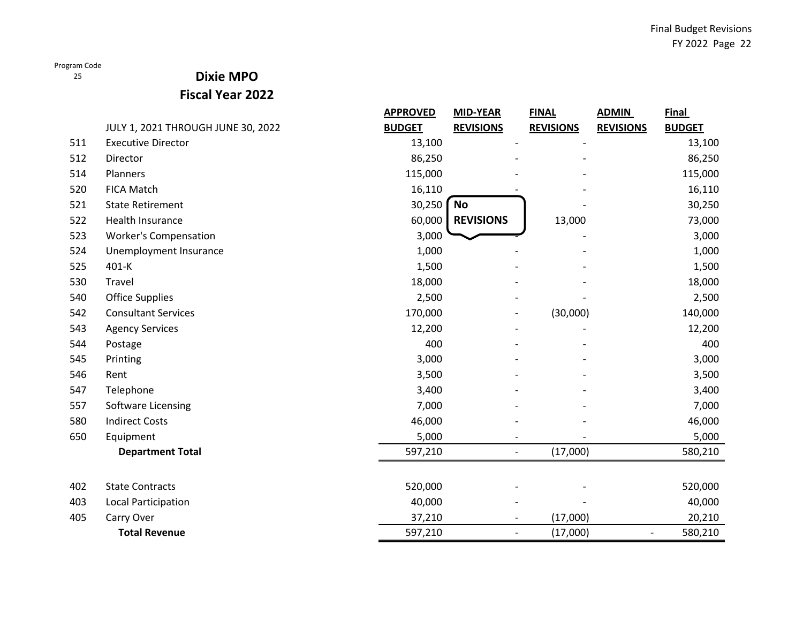25

## **Dixie MPO**

**Fiscal Year 2022**

|     |                                    | <b>APPROVED</b> | <b>MID-YEAR</b>  | <b>FINAL</b>                             | <b>ADMIN</b>             | <b>Final</b>  |
|-----|------------------------------------|-----------------|------------------|------------------------------------------|--------------------------|---------------|
|     | JULY 1, 2021 THROUGH JUNE 30, 2022 | <b>BUDGET</b>   | <b>REVISIONS</b> | <b>REVISIONS</b>                         | <b>REVISIONS</b>         | <b>BUDGET</b> |
| 511 | <b>Executive Director</b>          | 13,100          |                  |                                          |                          | 13,100        |
| 512 | Director                           | 86,250          |                  |                                          |                          | 86,250        |
| 514 | Planners                           | 115,000         |                  |                                          |                          | 115,000       |
| 520 | <b>FICA Match</b>                  | 16,110          |                  |                                          |                          | 16,110        |
| 521 | <b>State Retirement</b>            | 30,250          | <b>No</b>        |                                          |                          | 30,250        |
| 522 | <b>Health Insurance</b>            | 60,000          | <b>REVISIONS</b> | 13,000                                   |                          | 73,000        |
| 523 | <b>Worker's Compensation</b>       | 3,000           |                  |                                          |                          | 3,000         |
| 524 | Unemployment Insurance             | 1,000           |                  |                                          |                          | 1,000         |
| 525 | 401-K                              | 1,500           |                  |                                          |                          | 1,500         |
| 530 | Travel                             | 18,000          |                  |                                          |                          | 18,000        |
| 540 | <b>Office Supplies</b>             | 2,500           |                  |                                          |                          | 2,500         |
| 542 | <b>Consultant Services</b>         | 170,000         |                  | (30,000)<br>$\qquad \qquad \blacksquare$ |                          | 140,000       |
| 543 | <b>Agency Services</b>             | 12,200          |                  |                                          |                          | 12,200        |
| 544 | Postage                            | 400             |                  |                                          |                          | 400           |
| 545 | Printing                           | 3,000           |                  |                                          |                          | 3,000         |
| 546 | Rent                               | 3,500           |                  |                                          |                          | 3,500         |
| 547 | Telephone                          | 3,400           |                  |                                          |                          | 3,400         |
| 557 | Software Licensing                 | 7,000           |                  |                                          |                          | 7,000         |
| 580 | <b>Indirect Costs</b>              | 46,000          |                  |                                          |                          | 46,000        |
| 650 | Equipment                          | 5,000           |                  |                                          |                          | 5,000         |
|     | <b>Department Total</b>            | 597,210         |                  | (17,000)                                 |                          | 580,210       |
|     |                                    |                 |                  |                                          |                          |               |
| 402 | <b>State Contracts</b>             | 520,000         |                  |                                          |                          | 520,000       |
| 403 | <b>Local Participation</b>         | 40,000          |                  |                                          |                          | 40,000        |
| 405 | Carry Over                         | 37,210          |                  | (17,000)                                 |                          | 20,210        |
|     | <b>Total Revenue</b>               | 597,210         |                  | (17,000)<br>$\overline{\phantom{0}}$     | $\overline{\phantom{a}}$ | 580,210       |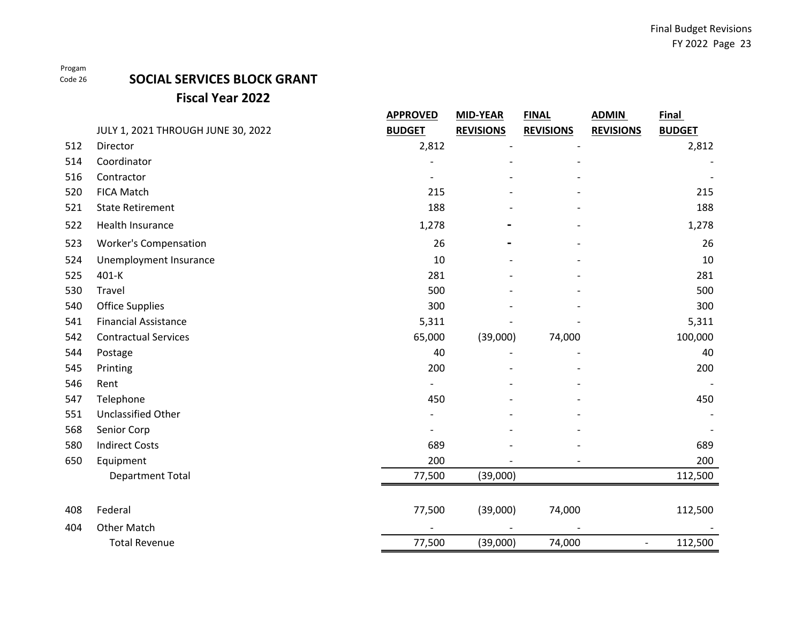## **SOCIAL SERVICES BLOCK GRANT Fiscal Year 2022**

|     |                                    | <b>APPROVED</b> | MID-YEAR         | <b>FINAL</b>     | <b>ADMIN</b>             | <b>Final</b>  |
|-----|------------------------------------|-----------------|------------------|------------------|--------------------------|---------------|
|     | JULY 1, 2021 THROUGH JUNE 30, 2022 | <b>BUDGET</b>   | <b>REVISIONS</b> | <b>REVISIONS</b> | <b>REVISIONS</b>         | <b>BUDGET</b> |
| 512 | Director                           | 2,812           |                  |                  |                          | 2,812         |
| 514 | Coordinator                        |                 |                  |                  |                          |               |
| 516 | Contractor                         |                 |                  |                  |                          |               |
| 520 | <b>FICA Match</b>                  | 215             |                  |                  |                          | 215           |
| 521 | <b>State Retirement</b>            | 188             |                  |                  |                          | 188           |
| 522 | Health Insurance                   | 1,278           |                  |                  |                          | 1,278         |
| 523 | <b>Worker's Compensation</b>       | 26              |                  |                  |                          | 26            |
| 524 | Unemployment Insurance             | 10              |                  |                  |                          | 10            |
| 525 | 401-K                              | 281             |                  |                  |                          | 281           |
| 530 | Travel                             | 500             |                  |                  |                          | 500           |
| 540 | <b>Office Supplies</b>             | 300             |                  |                  |                          | 300           |
| 541 | <b>Financial Assistance</b>        | 5,311           |                  |                  |                          | 5,311         |
| 542 | <b>Contractual Services</b>        | 65,000          | (39,000)         | 74,000           |                          | 100,000       |
| 544 | Postage                            | 40              |                  |                  |                          | 40            |
| 545 | Printing                           | 200             |                  |                  |                          | 200           |
| 546 | Rent                               |                 |                  |                  |                          |               |
| 547 | Telephone                          | 450             |                  |                  |                          | 450           |
| 551 | Unclassified Other                 |                 |                  |                  |                          |               |
| 568 | Senior Corp                        |                 |                  |                  |                          |               |
| 580 | <b>Indirect Costs</b>              | 689             |                  |                  |                          | 689           |
| 650 | Equipment                          | 200             |                  |                  |                          | 200           |
|     | <b>Department Total</b>            | 77,500          | (39,000)         |                  |                          | 112,500       |
|     |                                    |                 |                  |                  |                          |               |
| 408 | Federal                            | 77,500          | (39,000)         | 74,000           |                          | 112,500       |
| 404 | <b>Other Match</b>                 |                 |                  |                  |                          |               |
|     | <b>Total Revenue</b>               | 77,500          | (39,000)         | 74,000           | $\overline{\phantom{a}}$ | 112,500       |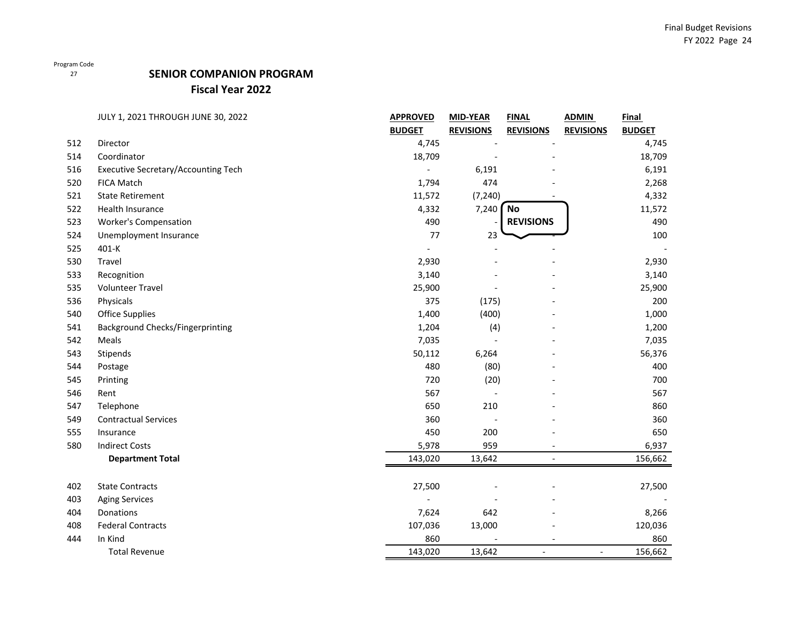## **SENIOR COMPANION PROGRAM**

## **Fiscal Year 2022**

|     | JULY 1, 2021 THROUGH JUNE 30, 2022         | <b>APPROVED</b> | <b>MID-YEAR</b>  | <b>FINAL</b>             | <b>ADMIN</b>     | Final         |
|-----|--------------------------------------------|-----------------|------------------|--------------------------|------------------|---------------|
|     |                                            | <b>BUDGET</b>   | <b>REVISIONS</b> | <b>REVISIONS</b>         | <b>REVISIONS</b> | <b>BUDGET</b> |
| 512 | Director                                   | 4,745           |                  |                          |                  | 4,745         |
| 514 | Coordinator                                | 18,709          |                  |                          |                  | 18,709        |
| 516 | <b>Executive Secretary/Accounting Tech</b> |                 | 6,191            |                          |                  | 6,191         |
| 520 | <b>FICA Match</b>                          | 1,794           | 474              |                          |                  | 2,268         |
| 521 | <b>State Retirement</b>                    | 11,572          | (7, 240)         |                          |                  | 4,332         |
| 522 | Health Insurance                           | 4,332           | 7,240            | <b>No</b>                |                  | 11,572        |
| 523 | <b>Worker's Compensation</b>               | 490             |                  | <b>REVISIONS</b>         |                  | 490           |
| 524 | Unemployment Insurance                     | 77              | 23               |                          |                  | 100           |
| 525 | 401-K                                      |                 |                  |                          |                  |               |
| 530 | Travel                                     | 2,930           |                  |                          |                  | 2,930         |
| 533 | Recognition                                | 3,140           |                  |                          |                  | 3,140         |
| 535 | <b>Volunteer Travel</b>                    | 25,900          |                  |                          |                  | 25,900        |
| 536 | Physicals                                  | 375             | (175)            |                          |                  | 200           |
| 540 | <b>Office Supplies</b>                     | 1,400           | (400)            |                          |                  | 1,000         |
| 541 | <b>Background Checks/Fingerprinting</b>    | 1,204           | (4)              |                          |                  | 1,200         |
| 542 | Meals                                      | 7,035           |                  |                          |                  | 7,035         |
| 543 | Stipends                                   | 50,112          | 6,264            |                          |                  | 56,376        |
| 544 | Postage                                    | 480             | (80)             |                          |                  | 400           |
| 545 | Printing                                   | 720             | (20)             |                          |                  | 700           |
| 546 | Rent                                       | 567             |                  |                          |                  | 567           |
| 547 | Telephone                                  | 650             | 210              |                          |                  | 860           |
| 549 | <b>Contractual Services</b>                | 360             |                  |                          |                  | 360           |
| 555 | Insurance                                  | 450             | 200              |                          |                  | 650           |
| 580 | <b>Indirect Costs</b>                      | 5,978           | 959              |                          |                  | 6,937         |
|     | <b>Department Total</b>                    | 143,020         | 13,642           | $\overline{\phantom{a}}$ |                  | 156,662       |
|     |                                            |                 |                  |                          |                  |               |
| 402 | <b>State Contracts</b>                     | 27,500          |                  |                          |                  | 27,500        |
| 403 | <b>Aging Services</b>                      |                 |                  |                          |                  |               |
| 404 | Donations                                  | 7,624           | 642              |                          |                  | 8,266         |
| 408 | <b>Federal Contracts</b>                   | 107,036         | 13,000           |                          |                  | 120,036       |
| 444 | In Kind                                    | 860             |                  |                          |                  | 860           |
|     | <b>Total Revenue</b>                       | 143,020         | 13,642           |                          |                  | 156,662       |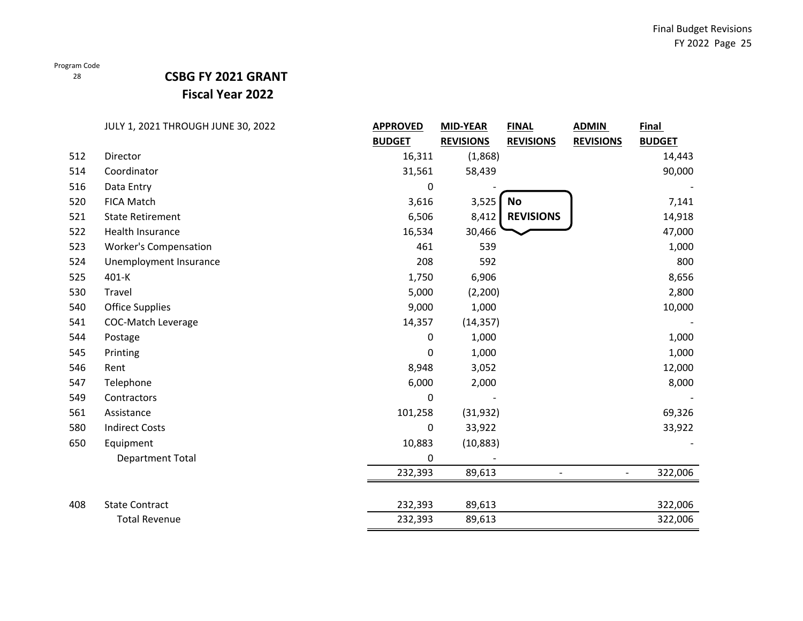### 28

## **CSBG FY 2021 GRANT Fiscal Year 2022**

|     | JULY 1, 2021 THROUGH JUNE 30, 2022 | <b>APPROVED</b> | <b>MID-YEAR</b>  | <b>FINAL</b>     | <b>ADMIN</b>     | <b>Final</b>  |
|-----|------------------------------------|-----------------|------------------|------------------|------------------|---------------|
|     |                                    | <b>BUDGET</b>   | <b>REVISIONS</b> | <b>REVISIONS</b> | <b>REVISIONS</b> | <b>BUDGET</b> |
| 512 | Director                           | 16,311          | (1,868)          |                  |                  | 14,443        |
| 514 | Coordinator                        | 31,561          | 58,439           |                  |                  | 90,000        |
| 516 | Data Entry                         | 0               |                  |                  |                  |               |
| 520 | <b>FICA Match</b>                  | 3,616           | 3,525            | <b>No</b>        |                  | 7,141         |
| 521 | <b>State Retirement</b>            | 6,506           | 8,412            | <b>REVISIONS</b> |                  | 14,918        |
| 522 | Health Insurance                   | 16,534          | 30,466           |                  |                  | 47,000        |
| 523 | <b>Worker's Compensation</b>       | 461             | 539              |                  |                  | 1,000         |
| 524 | Unemployment Insurance             | 208             | 592              |                  |                  | 800           |
| 525 | 401-K                              | 1,750           | 6,906            |                  |                  | 8,656         |
| 530 | Travel                             | 5,000           | (2, 200)         |                  |                  | 2,800         |
| 540 | <b>Office Supplies</b>             | 9,000           | 1,000            |                  |                  | 10,000        |
| 541 | <b>COC-Match Leverage</b>          | 14,357          | (14, 357)        |                  |                  |               |
| 544 | Postage                            | 0               | 1,000            |                  |                  | 1,000         |
| 545 | Printing                           | 0               | 1,000            |                  |                  | 1,000         |
| 546 | Rent                               | 8,948           | 3,052            |                  |                  | 12,000        |
| 547 | Telephone                          | 6,000           | 2,000            |                  |                  | 8,000         |
| 549 | Contractors                        | $\mathbf{0}$    |                  |                  |                  |               |
| 561 | Assistance                         | 101,258         | (31, 932)        |                  |                  | 69,326        |
| 580 | <b>Indirect Costs</b>              | 0               | 33,922           |                  |                  | 33,922        |
| 650 | Equipment                          | 10,883          | (10, 883)        |                  |                  |               |
|     | Department Total                   | 0               |                  |                  |                  |               |
|     |                                    | 232,393         | 89,613           |                  |                  | 322,006       |
| 408 | <b>State Contract</b>              | 232,393         | 89,613           |                  |                  | 322,006       |
|     | <b>Total Revenue</b>               | 232,393         | 89,613           |                  |                  | 322,006       |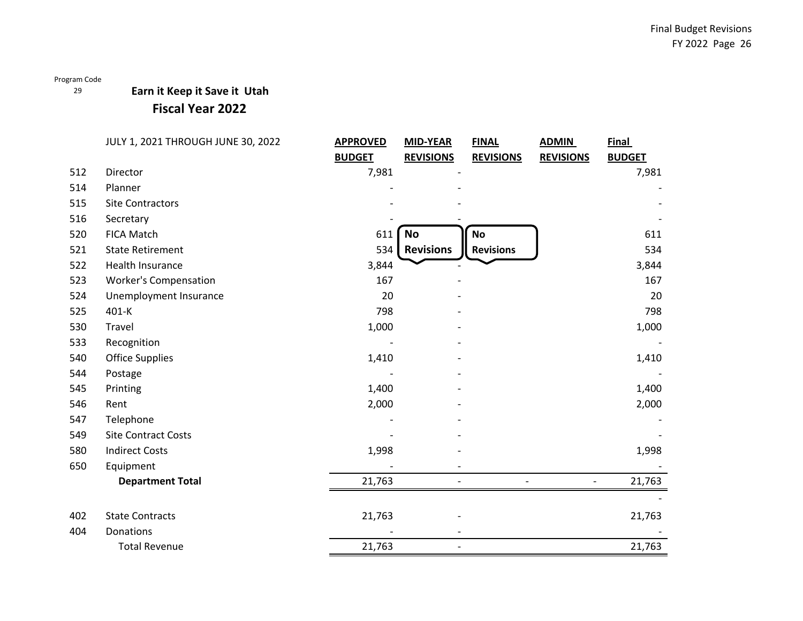## **Earn it Keep it Save it Utah**

## **Fiscal Year 2022**

|     | JULY 1, 2021 THROUGH JUNE 30, 2022 | <b>APPROVED</b> | <b>MID-YEAR</b>          | <b>FINAL</b>     | <b>ADMIN</b>     | <b>Final</b>  |
|-----|------------------------------------|-----------------|--------------------------|------------------|------------------|---------------|
|     |                                    | <b>BUDGET</b>   | <b>REVISIONS</b>         | <b>REVISIONS</b> | <b>REVISIONS</b> | <b>BUDGET</b> |
| 512 | Director                           | 7,981           |                          |                  |                  | 7,981         |
| 514 | Planner                            |                 |                          |                  |                  |               |
| 515 | <b>Site Contractors</b>            |                 |                          |                  |                  |               |
| 516 | Secretary                          |                 |                          |                  |                  |               |
| 520 | <b>FICA Match</b>                  | 611             | <b>No</b>                | <b>No</b>        |                  | 611           |
| 521 | <b>State Retirement</b>            | 534             | <b>Revisions</b>         | <b>Revisions</b> |                  | 534           |
| 522 | Health Insurance                   | 3,844           |                          |                  |                  | 3,844         |
| 523 | <b>Worker's Compensation</b>       | 167             |                          |                  |                  | 167           |
| 524 | Unemployment Insurance             | 20              |                          |                  |                  | 20            |
| 525 | 401-K                              | 798             |                          |                  |                  | 798           |
| 530 | Travel                             | 1,000           |                          |                  |                  | 1,000         |
| 533 | Recognition                        |                 |                          |                  |                  |               |
| 540 | <b>Office Supplies</b>             | 1,410           |                          |                  |                  | 1,410         |
| 544 | Postage                            |                 |                          |                  |                  |               |
| 545 | Printing                           | 1,400           |                          |                  |                  | 1,400         |
| 546 | Rent                               | 2,000           |                          |                  |                  | 2,000         |
| 547 | Telephone                          |                 |                          |                  |                  |               |
| 549 | <b>Site Contract Costs</b>         |                 |                          |                  |                  |               |
| 580 | <b>Indirect Costs</b>              | 1,998           |                          |                  |                  | 1,998         |
| 650 | Equipment                          |                 |                          |                  |                  |               |
|     | <b>Department Total</b>            | 21,763          |                          |                  |                  | 21,763        |
|     |                                    |                 |                          |                  |                  |               |
| 402 | <b>State Contracts</b>             | 21,763          |                          |                  |                  | 21,763        |
| 404 | Donations                          |                 |                          |                  |                  |               |
|     | <b>Total Revenue</b>               | 21,763          | $\overline{\phantom{a}}$ |                  |                  | 21,763        |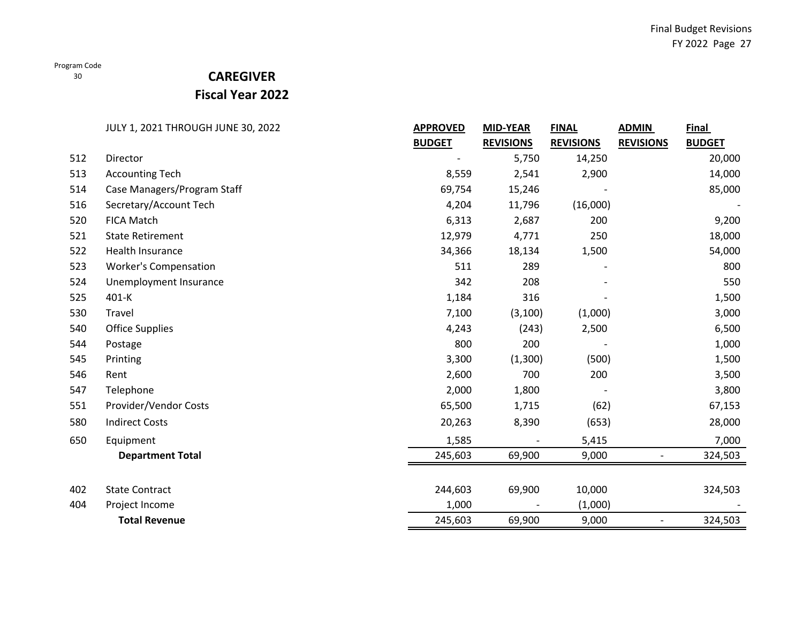# **CAREGIVER**

**Fiscal Year 2022**

|     | JULY 1, 2021 THROUGH JUNE 30, 2022 | <b>APPROVED</b> | <b>MID-YEAR</b>  | <b>FINAL</b>     | <b>ADMIN</b>             | <b>Final</b>  |
|-----|------------------------------------|-----------------|------------------|------------------|--------------------------|---------------|
|     |                                    | <b>BUDGET</b>   | <b>REVISIONS</b> | <b>REVISIONS</b> | <b>REVISIONS</b>         | <b>BUDGET</b> |
| 512 | Director                           |                 | 5,750            | 14,250           |                          | 20,000        |
| 513 | <b>Accounting Tech</b>             | 8,559           | 2,541            | 2,900            |                          | 14,000        |
| 514 | Case Managers/Program Staff        | 69,754          | 15,246           |                  |                          | 85,000        |
| 516 | Secretary/Account Tech             | 4,204           | 11,796           | (16,000)         |                          |               |
| 520 | <b>FICA Match</b>                  | 6,313           | 2,687            | 200              |                          | 9,200         |
| 521 | <b>State Retirement</b>            | 12,979          | 4,771            | 250              |                          | 18,000        |
| 522 | Health Insurance                   | 34,366          | 18,134           | 1,500            |                          | 54,000        |
| 523 | <b>Worker's Compensation</b>       | 511             | 289              |                  |                          | 800           |
| 524 | Unemployment Insurance             | 342             | 208              |                  |                          | 550           |
| 525 | 401-K                              | 1,184           | 316              |                  |                          | 1,500         |
| 530 | Travel                             | 7,100           | (3, 100)         | (1,000)          |                          | 3,000         |
| 540 | <b>Office Supplies</b>             | 4,243           | (243)            | 2,500            |                          | 6,500         |
| 544 | Postage                            | 800             | 200              |                  |                          | 1,000         |
| 545 | Printing                           | 3,300           | (1,300)          | (500)            |                          | 1,500         |
| 546 | Rent                               | 2,600           | 700              | 200              |                          | 3,500         |
| 547 | Telephone                          | 2,000           | 1,800            |                  |                          | 3,800         |
| 551 | Provider/Vendor Costs              | 65,500          | 1,715            | (62)             |                          | 67,153        |
| 580 | <b>Indirect Costs</b>              | 20,263          | 8,390            | (653)            |                          | 28,000        |
| 650 | Equipment                          | 1,585           |                  | 5,415            |                          | 7,000         |
|     | <b>Department Total</b>            | 245,603         | 69,900           | 9,000            | $\overline{\phantom{0}}$ | 324,503       |
| 402 | <b>State Contract</b>              | 244,603         | 69,900           | 10,000           |                          | 324,503       |
| 404 | Project Income                     | 1,000           |                  | (1,000)          |                          |               |
|     | <b>Total Revenue</b>               | 245,603         | 69,900           | 9,000            | $\overline{\phantom{0}}$ | 324,503       |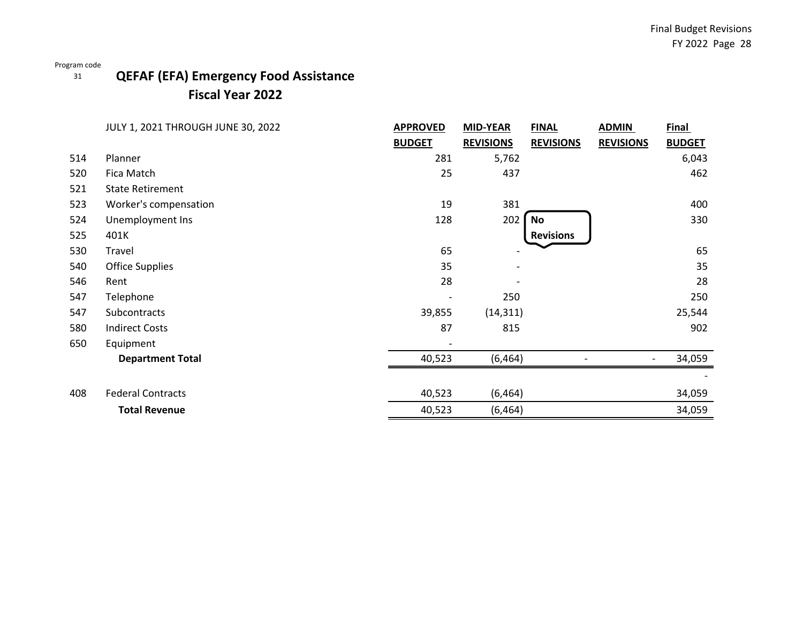# **QEFAF (EFA) Emergency Food Assistance Fiscal Year 2022**

|     | JULY 1, 2021 THROUGH JUNE 30, 2022 | <b>APPROVED</b>          | <b>MID-YEAR</b>  | <b>FINAL</b>     | <b>ADMIN</b>     | <b>Final</b>  |
|-----|------------------------------------|--------------------------|------------------|------------------|------------------|---------------|
|     |                                    | <b>BUDGET</b>            | <b>REVISIONS</b> | <b>REVISIONS</b> | <b>REVISIONS</b> | <b>BUDGET</b> |
| 514 | Planner                            | 281                      | 5,762            |                  |                  | 6,043         |
| 520 | Fica Match                         | 25                       | 437              |                  |                  | 462           |
| 521 | <b>State Retirement</b>            |                          |                  |                  |                  |               |
| 523 | Worker's compensation              | 19                       | 381              |                  |                  | 400           |
| 524 | Unemployment Ins                   | 128                      | 202              | No               |                  | 330           |
| 525 | 401K                               |                          |                  | <b>Revisions</b> |                  |               |
| 530 | Travel                             | 65                       |                  |                  |                  | 65            |
| 540 | <b>Office Supplies</b>             | 35                       |                  |                  |                  | 35            |
| 546 | Rent                               | 28                       |                  |                  |                  | 28            |
| 547 | Telephone                          | $\overline{\phantom{a}}$ | 250              |                  |                  | 250           |
| 547 | Subcontracts                       | 39,855                   | (14, 311)        |                  |                  | 25,544        |
| 580 | <b>Indirect Costs</b>              | 87                       | 815              |                  |                  | 902           |
| 650 | Equipment                          |                          |                  |                  |                  |               |
|     | <b>Department Total</b>            | 40,523                   | (6, 464)         |                  |                  | 34,059        |
|     |                                    |                          |                  |                  |                  |               |
| 408 | <b>Federal Contracts</b>           | 40,523                   | (6, 464)         |                  |                  | 34,059        |
|     | <b>Total Revenue</b>               | 40,523                   | (6, 464)         |                  |                  | 34,059        |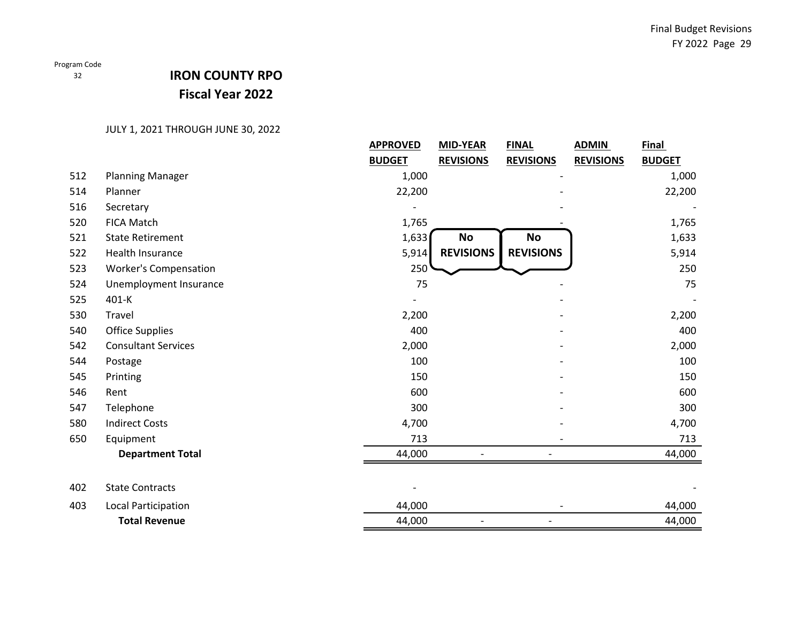# **IRON COUNTY RPO Fiscal Year 2022**

|     |                              | <b>APPROVED</b> | <b>MID-YEAR</b>          | <b>FINAL</b>     | <b>ADMIN</b>     | <u>Final</u>  |
|-----|------------------------------|-----------------|--------------------------|------------------|------------------|---------------|
|     |                              | <b>BUDGET</b>   | <b>REVISIONS</b>         | <b>REVISIONS</b> | <b>REVISIONS</b> | <b>BUDGET</b> |
| 512 | <b>Planning Manager</b>      | 1,000           |                          |                  |                  | 1,000         |
| 514 | Planner                      | 22,200          |                          |                  |                  | 22,200        |
| 516 | Secretary                    |                 |                          |                  |                  |               |
| 520 | <b>FICA Match</b>            | 1,765           |                          |                  |                  | 1,765         |
| 521 | <b>State Retirement</b>      | 1,633           | <b>No</b>                | No               |                  | 1,633         |
| 522 | Health Insurance             | 5,914           | <b>REVISIONS</b>         | <b>REVISIONS</b> |                  | 5,914         |
| 523 | <b>Worker's Compensation</b> | 250             |                          |                  |                  | 250           |
| 524 | Unemployment Insurance       | 75              |                          |                  |                  | 75            |
| 525 | 401-K                        |                 |                          |                  |                  |               |
| 530 | Travel                       | 2,200           |                          |                  |                  | 2,200         |
| 540 | <b>Office Supplies</b>       | 400             |                          |                  |                  | 400           |
| 542 | <b>Consultant Services</b>   | 2,000           |                          |                  |                  | 2,000         |
| 544 | Postage                      | 100             |                          |                  |                  | 100           |
| 545 | Printing                     | 150             |                          |                  |                  | 150           |
| 546 | Rent                         | 600             |                          |                  |                  | 600           |
| 547 | Telephone                    | 300             |                          |                  |                  | 300           |
| 580 | <b>Indirect Costs</b>        | 4,700           |                          |                  |                  | 4,700         |
| 650 | Equipment                    | 713             |                          |                  |                  | 713           |
|     | <b>Department Total</b>      | 44,000          |                          |                  |                  | 44,000        |
|     |                              |                 |                          |                  |                  |               |
| 402 | <b>State Contracts</b>       |                 |                          |                  |                  |               |
| 403 | <b>Local Participation</b>   | 44,000          |                          |                  |                  | 44,000        |
|     | <b>Total Revenue</b>         | 44,000          | $\overline{\phantom{0}}$ |                  |                  | 44,000        |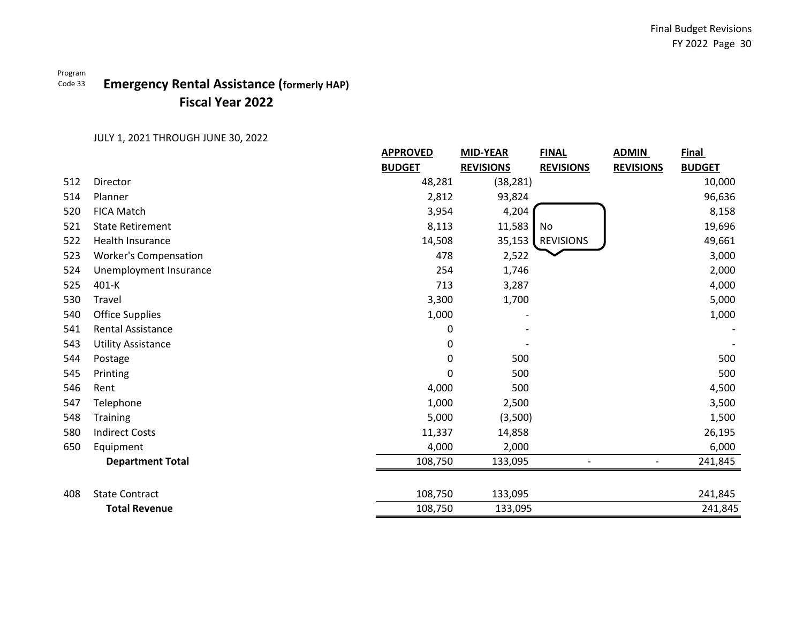### Program Code 33 **Emergency Rental Assistance (formerly HAP) Fiscal Year 2022**

|     |                              | <b>APPROVED</b> | <b>MID-YEAR</b>  | <b>FINAL</b>     | <b>ADMIN</b>     | <b>Final</b>  |
|-----|------------------------------|-----------------|------------------|------------------|------------------|---------------|
|     |                              | <b>BUDGET</b>   | <b>REVISIONS</b> | <b>REVISIONS</b> | <b>REVISIONS</b> | <b>BUDGET</b> |
| 512 | Director                     | 48,281          | (38, 281)        |                  |                  | 10,000        |
| 514 | Planner                      | 2,812           | 93,824           |                  |                  | 96,636        |
| 520 | <b>FICA Match</b>            | 3,954           | 4,204            |                  |                  | 8,158         |
| 521 | <b>State Retirement</b>      | 8,113           | 11,583           | No               |                  | 19,696        |
| 522 | Health Insurance             | 14,508          | 35,153           | <b>REVISIONS</b> |                  | 49,661        |
| 523 | <b>Worker's Compensation</b> | 478             | 2,522            |                  |                  | 3,000         |
| 524 | Unemployment Insurance       | 254             | 1,746            |                  |                  | 2,000         |
| 525 | 401-K                        | 713             | 3,287            |                  |                  | 4,000         |
| 530 | Travel                       | 3,300           | 1,700            |                  |                  | 5,000         |
| 540 | <b>Office Supplies</b>       | 1,000           |                  |                  |                  | 1,000         |
| 541 | <b>Rental Assistance</b>     | 0               |                  |                  |                  |               |
| 543 | <b>Utility Assistance</b>    | 0               |                  |                  |                  |               |
| 544 | Postage                      | 0               | 500              |                  |                  | 500           |
| 545 | Printing                     | 0               | 500              |                  |                  | 500           |
| 546 | Rent                         | 4,000           | 500              |                  |                  | 4,500         |
| 547 | Telephone                    | 1,000           | 2,500            |                  |                  | 3,500         |
| 548 | Training                     | 5,000           | (3,500)          |                  |                  | 1,500         |
| 580 | <b>Indirect Costs</b>        | 11,337          | 14,858           |                  |                  | 26,195        |
| 650 | Equipment                    | 4,000           | 2,000            |                  |                  | 6,000         |
|     | <b>Department Total</b>      | 108,750         | 133,095          |                  |                  | 241,845       |
|     |                              |                 |                  |                  |                  |               |
| 408 | <b>State Contract</b>        | 108,750         | 133,095          |                  |                  | 241,845       |
|     | <b>Total Revenue</b>         | 108,750         | 133,095          |                  |                  | 241,845       |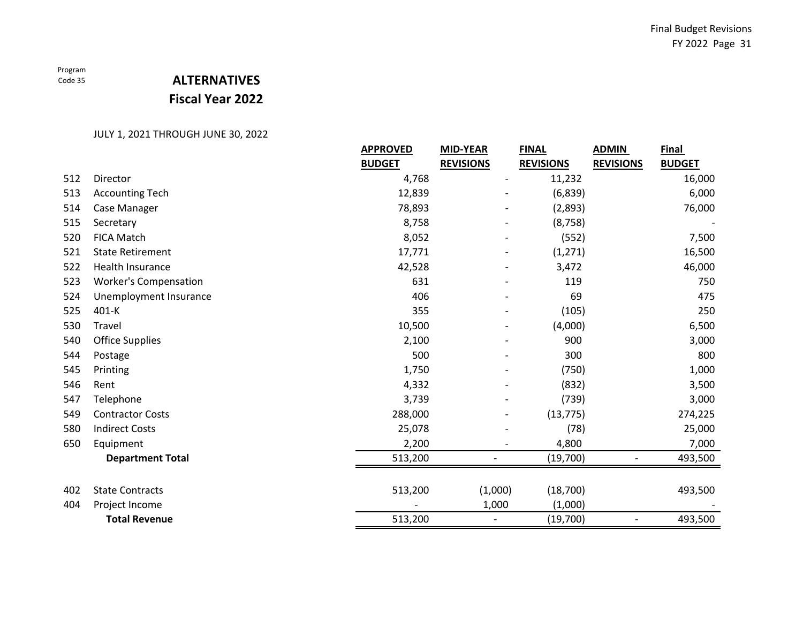# **ALTERNATIVES Fiscal Year 2022**

|     |                              | <b>APPROVED</b> | <b>MID-YEAR</b>          | <b>FINAL</b>     | <b>ADMIN</b>             | <b>Final</b>  |
|-----|------------------------------|-----------------|--------------------------|------------------|--------------------------|---------------|
|     |                              | <b>BUDGET</b>   | <b>REVISIONS</b>         | <b>REVISIONS</b> | <b>REVISIONS</b>         | <b>BUDGET</b> |
| 512 | Director                     | 4,768           |                          | 11,232           |                          | 16,000        |
| 513 | <b>Accounting Tech</b>       | 12,839          |                          | (6,839)          |                          | 6,000         |
| 514 | Case Manager                 | 78,893          | $\overline{\phantom{a}}$ | (2,893)          |                          | 76,000        |
| 515 | Secretary                    | 8,758           |                          | (8, 758)         |                          |               |
| 520 | <b>FICA Match</b>            | 8,052           |                          | (552)            |                          | 7,500         |
| 521 | <b>State Retirement</b>      | 17,771          |                          | (1, 271)         |                          | 16,500        |
| 522 | <b>Health Insurance</b>      | 42,528          |                          | 3,472            |                          | 46,000        |
| 523 | <b>Worker's Compensation</b> | 631             |                          | 119              |                          | 750           |
| 524 | Unemployment Insurance       | 406             |                          | 69               |                          | 475           |
| 525 | 401-K                        | 355             |                          | (105)            |                          | 250           |
| 530 | Travel                       | 10,500          |                          | (4,000)          |                          | 6,500         |
| 540 | <b>Office Supplies</b>       | 2,100           |                          | 900              |                          | 3,000         |
| 544 | Postage                      | 500             |                          | 300              |                          | 800           |
| 545 | Printing                     | 1,750           |                          | (750)            |                          | 1,000         |
| 546 | Rent                         | 4,332           |                          | (832)            |                          | 3,500         |
| 547 | Telephone                    | 3,739           |                          | (739)            |                          | 3,000         |
| 549 | <b>Contractor Costs</b>      | 288,000         |                          | (13, 775)        |                          | 274,225       |
| 580 | <b>Indirect Costs</b>        | 25,078          |                          | (78)             |                          | 25,000        |
| 650 | Equipment                    | 2,200           |                          | 4,800            |                          | 7,000         |
|     | <b>Department Total</b>      | 513,200         |                          | (19,700)         |                          | 493,500       |
|     |                              |                 |                          |                  |                          |               |
| 402 | <b>State Contracts</b>       | 513,200         | (1,000)                  | (18,700)         |                          | 493,500       |
| 404 | Project Income               |                 | 1,000                    | (1,000)          |                          |               |
|     | <b>Total Revenue</b>         | 513,200         | $\overline{\phantom{a}}$ | (19,700)         | $\overline{\phantom{a}}$ | 493,500       |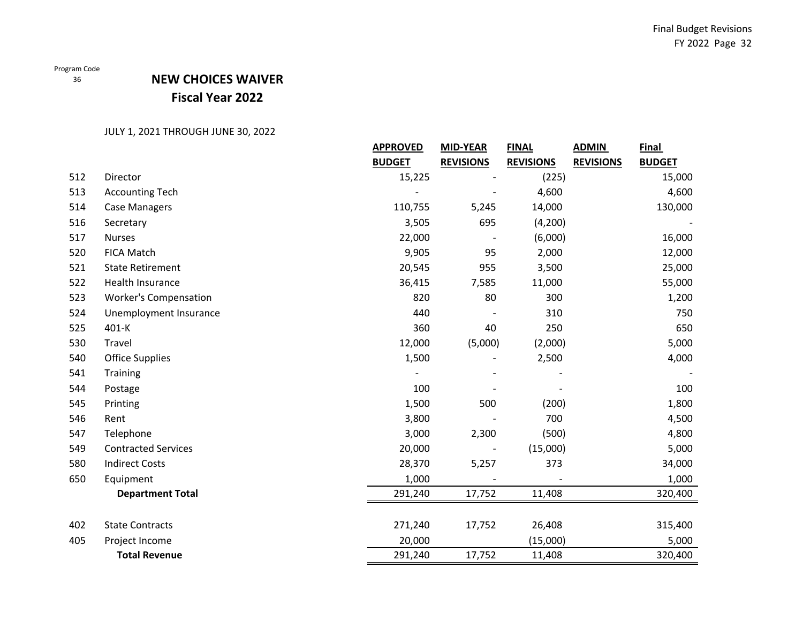## **NEW CHOICES WAIVER Fiscal Year 2022**

|     |                              | <b>APPROVED</b> | <b>MID-YEAR</b>  | <b>FINAL</b>     | <b>ADMIN</b>     | <b>Final</b>  |
|-----|------------------------------|-----------------|------------------|------------------|------------------|---------------|
|     |                              | <b>BUDGET</b>   | <b>REVISIONS</b> | <b>REVISIONS</b> | <b>REVISIONS</b> | <b>BUDGET</b> |
| 512 | Director                     | 15,225          |                  | (225)            |                  | 15,000        |
| 513 | <b>Accounting Tech</b>       |                 |                  | 4,600            |                  | 4,600         |
| 514 | <b>Case Managers</b>         | 110,755         | 5,245            | 14,000           |                  | 130,000       |
| 516 | Secretary                    | 3,505           | 695              | (4,200)          |                  |               |
| 517 | <b>Nurses</b>                | 22,000          |                  | (6,000)          |                  | 16,000        |
| 520 | <b>FICA Match</b>            | 9,905           | 95               | 2,000            |                  | 12,000        |
| 521 | <b>State Retirement</b>      | 20,545          | 955              | 3,500            |                  | 25,000        |
| 522 | Health Insurance             | 36,415          | 7,585            | 11,000           |                  | 55,000        |
| 523 | <b>Worker's Compensation</b> | 820             | 80               | 300              |                  | 1,200         |
| 524 | Unemployment Insurance       | 440             |                  | 310              |                  | 750           |
| 525 | 401-K                        | 360             | 40               | 250              |                  | 650           |
| 530 | Travel                       | 12,000          | (5,000)          | (2,000)          |                  | 5,000         |
| 540 | <b>Office Supplies</b>       | 1,500           |                  | 2,500            |                  | 4,000         |
| 541 | <b>Training</b>              |                 |                  |                  |                  |               |
| 544 | Postage                      | 100             |                  |                  |                  | 100           |
| 545 | Printing                     | 1,500           | 500              | (200)            |                  | 1,800         |
| 546 | Rent                         | 3,800           |                  | 700              |                  | 4,500         |
| 547 | Telephone                    | 3,000           | 2,300            | (500)            |                  | 4,800         |
| 549 | <b>Contracted Services</b>   | 20,000          |                  | (15,000)         |                  | 5,000         |
| 580 | <b>Indirect Costs</b>        | 28,370          | 5,257            | 373              |                  | 34,000        |
| 650 | Equipment                    | 1,000           |                  |                  |                  | 1,000         |
|     | <b>Department Total</b>      | 291,240         | 17,752           | 11,408           |                  | 320,400       |
|     |                              |                 |                  |                  |                  |               |
| 402 | <b>State Contracts</b>       | 271,240         | 17,752           | 26,408           |                  | 315,400       |
| 405 | Project Income               | 20,000          |                  | (15,000)         |                  | 5,000         |
|     | <b>Total Revenue</b>         | 291,240         | 17,752           | 11,408           |                  | 320,400       |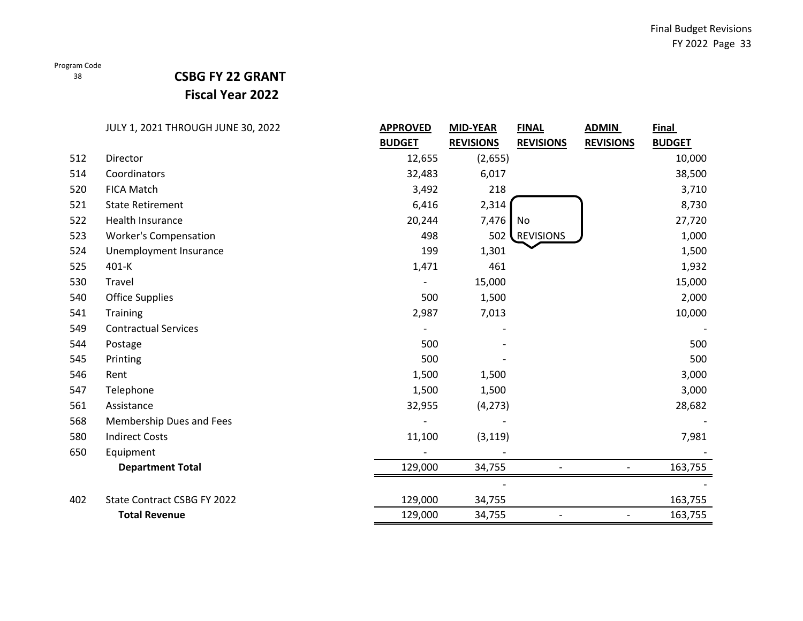### 38

# **CSBG FY 22 GRANT**

**Fiscal Year 2022**

|     | JULY 1, 2021 THROUGH JUNE 30, 2022 | <b>APPROVED</b> | <b>MID-YEAR</b>  | <b>FINAL</b>     | <b>ADMIN</b>             | Final         |
|-----|------------------------------------|-----------------|------------------|------------------|--------------------------|---------------|
|     |                                    | <b>BUDGET</b>   | <b>REVISIONS</b> | <b>REVISIONS</b> | <b>REVISIONS</b>         | <b>BUDGET</b> |
| 512 | Director                           | 12,655          | (2,655)          |                  |                          | 10,000        |
| 514 | Coordinators                       | 32,483          | 6,017            |                  |                          | 38,500        |
| 520 | <b>FICA Match</b>                  | 3,492           | 218              |                  |                          | 3,710         |
| 521 | <b>State Retirement</b>            | 6,416           | 2,314            |                  |                          | 8,730         |
| 522 | Health Insurance                   | 20,244          | 7,476            | No               |                          | 27,720        |
| 523 | <b>Worker's Compensation</b>       | 498             | 502              | REVISIONS        |                          | 1,000         |
| 524 | Unemployment Insurance             | 199             | 1,301            |                  |                          | 1,500         |
| 525 | 401-K                              | 1,471           | 461              |                  |                          | 1,932         |
| 530 | Travel                             |                 | 15,000           |                  |                          | 15,000        |
| 540 | <b>Office Supplies</b>             | 500             | 1,500            |                  |                          | 2,000         |
| 541 | Training                           | 2,987           | 7,013            |                  |                          | 10,000        |
| 549 | <b>Contractual Services</b>        |                 |                  |                  |                          |               |
| 544 | Postage                            | 500             |                  |                  |                          | 500           |
| 545 | Printing                           | 500             |                  |                  |                          | 500           |
| 546 | Rent                               | 1,500           | 1,500            |                  |                          | 3,000         |
| 547 | Telephone                          | 1,500           | 1,500            |                  |                          | 3,000         |
| 561 | Assistance                         | 32,955          | (4, 273)         |                  |                          | 28,682        |
| 568 | Membership Dues and Fees           |                 |                  |                  |                          |               |
| 580 | <b>Indirect Costs</b>              | 11,100          | (3, 119)         |                  |                          | 7,981         |
| 650 | Equipment                          |                 |                  |                  |                          |               |
|     | <b>Department Total</b>            | 129,000         | 34,755           |                  |                          | 163,755       |
|     |                                    |                 |                  |                  |                          |               |
| 402 | State Contract CSBG FY 2022        | 129,000         | 34,755           |                  |                          | 163,755       |
|     | <b>Total Revenue</b>               | 129,000         | 34,755           |                  | $\overline{\phantom{a}}$ | 163,755       |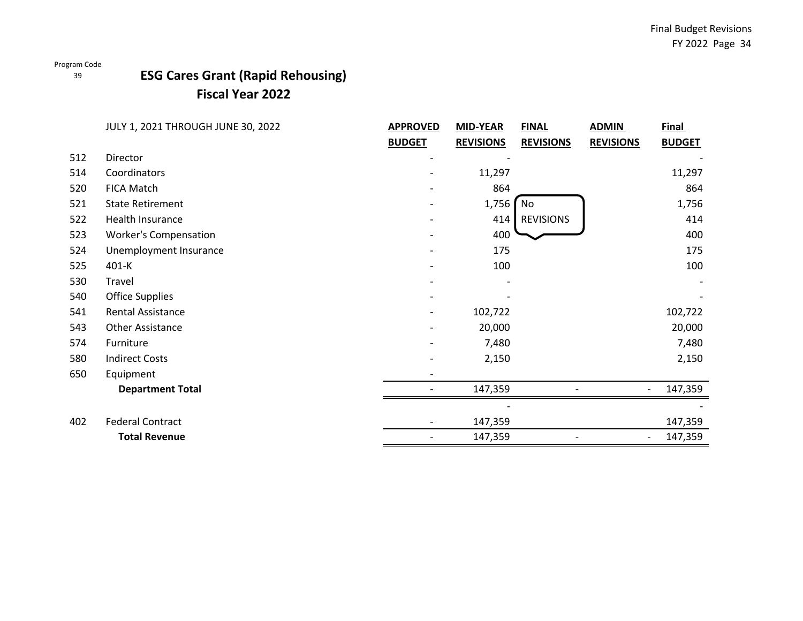### 39

## **ESG Cares Grant (Rapid Rehousing) Fiscal Year 2022**

|     | JULY 1, 2021 THROUGH JUNE 30, 2022 | <b>APPROVED</b> | <b>MID-YEAR</b>  | <b>FINAL</b>     | <b>ADMIN</b>     | <b>Final</b>  |
|-----|------------------------------------|-----------------|------------------|------------------|------------------|---------------|
|     |                                    | <b>BUDGET</b>   | <b>REVISIONS</b> | <b>REVISIONS</b> | <b>REVISIONS</b> | <b>BUDGET</b> |
| 512 | Director                           |                 |                  |                  |                  |               |
| 514 | Coordinators                       |                 | 11,297           |                  |                  | 11,297        |
| 520 | FICA Match                         |                 | 864              |                  |                  | 864           |
| 521 | <b>State Retirement</b>            |                 | 1,756            | No               |                  | 1,756         |
| 522 | Health Insurance                   |                 | 414              | <b>REVISIONS</b> |                  | 414           |
| 523 | <b>Worker's Compensation</b>       |                 | 400              |                  |                  | 400           |
| 524 | Unemployment Insurance             |                 | 175              |                  |                  | 175           |
| 525 | 401-K                              |                 | 100              |                  |                  | 100           |
| 530 | Travel                             |                 |                  |                  |                  |               |
| 540 | <b>Office Supplies</b>             |                 |                  |                  |                  |               |
| 541 | <b>Rental Assistance</b>           |                 | 102,722          |                  |                  | 102,722       |
| 543 | Other Assistance                   |                 | 20,000           |                  |                  | 20,000        |
| 574 | Furniture                          |                 | 7,480            |                  |                  | 7,480         |
| 580 | <b>Indirect Costs</b>              |                 | 2,150            |                  |                  | 2,150         |
| 650 | Equipment                          |                 |                  |                  |                  |               |
|     | <b>Department Total</b>            |                 | 147,359          |                  |                  | 147,359       |
|     |                                    |                 |                  |                  |                  |               |
| 402 | <b>Federal Contract</b>            |                 | 147,359          |                  |                  | 147,359       |
|     | <b>Total Revenue</b>               |                 | 147,359          |                  |                  | 147,359       |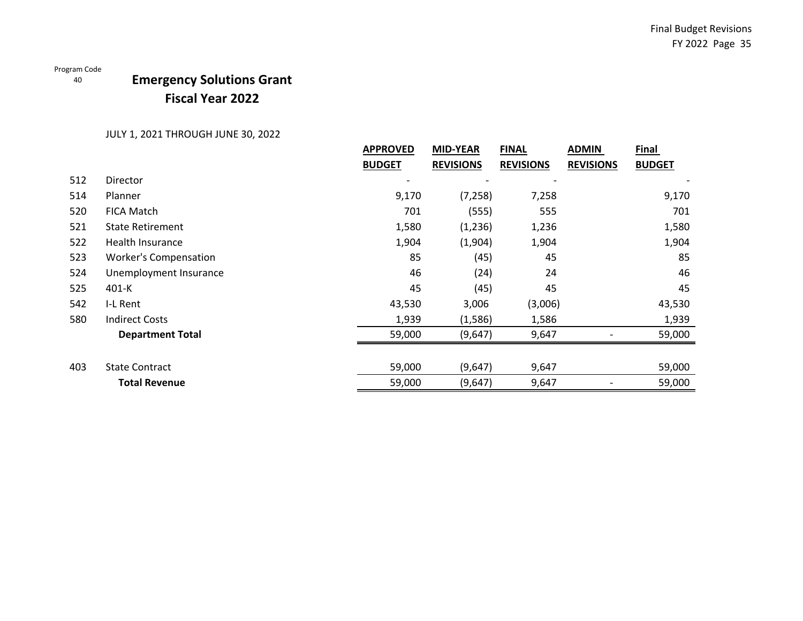# **Emergency Solutions Grant Fiscal Year 2022**

|     |                              | <b>APPROVED</b>          | <b>MID-YEAR</b>  | <b>FINAL</b>     | <b>ADMIN</b>     | <b>Final</b>  |
|-----|------------------------------|--------------------------|------------------|------------------|------------------|---------------|
|     |                              | <b>BUDGET</b>            | <b>REVISIONS</b> | <b>REVISIONS</b> | <b>REVISIONS</b> | <b>BUDGET</b> |
| 512 | <b>Director</b>              | $\overline{\phantom{a}}$ |                  |                  |                  |               |
| 514 | Planner                      | 9,170                    | (7, 258)         | 7,258            |                  | 9,170         |
| 520 | <b>FICA Match</b>            | 701                      | (555)            | 555              |                  | 701           |
| 521 | <b>State Retirement</b>      | 1,580                    | (1,236)          | 1,236            |                  | 1,580         |
| 522 | Health Insurance             | 1,904                    | (1,904)          | 1,904            |                  | 1,904         |
| 523 | <b>Worker's Compensation</b> | 85                       | (45)             | 45               |                  | 85            |
| 524 | Unemployment Insurance       | 46                       | (24)             | 24               |                  | 46            |
| 525 | $401-K$                      | 45                       | (45)             | 45               |                  | 45            |
| 542 | I-L Rent                     | 43,530                   | 3,006            | (3,006)          |                  | 43,530        |
| 580 | <b>Indirect Costs</b>        | 1,939                    | (1,586)          | 1,586            |                  | 1,939         |
|     | <b>Department Total</b>      | 59,000                   | (9,647)          | 9,647            |                  | 59,000        |
|     |                              |                          |                  |                  |                  |               |
| 403 | <b>State Contract</b>        | 59,000                   | (9,647)          | 9,647            |                  | 59,000        |
|     | <b>Total Revenue</b>         | 59,000                   | (9,647)          | 9,647            |                  | 59,000        |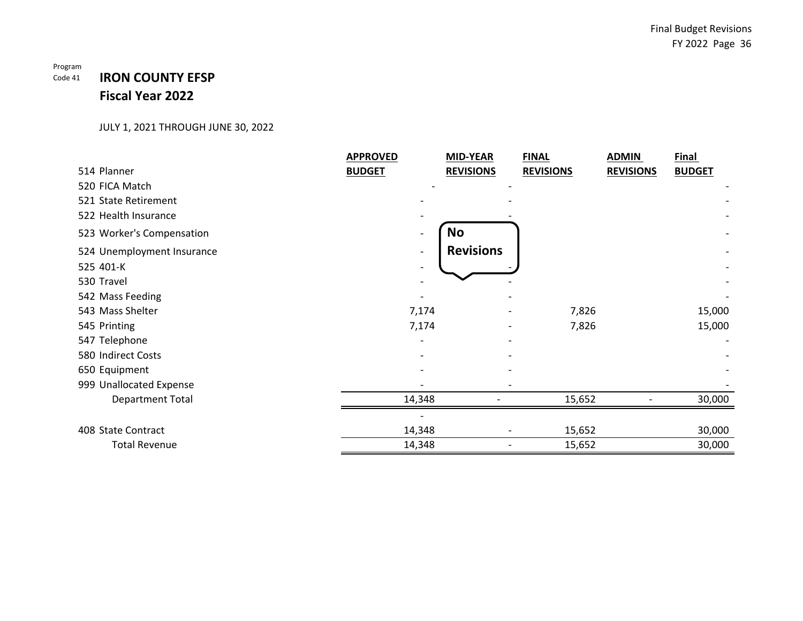### Program Code 41 **IRON COUNTY EFSP Fiscal Year 2022**

|                            | <b>APPROVED</b> | <b>MID-YEAR</b>  | <b>FINAL</b>     | <b>ADMIN</b>     | <b>Final</b>  |
|----------------------------|-----------------|------------------|------------------|------------------|---------------|
| 514 Planner                | <b>BUDGET</b>   | <b>REVISIONS</b> | <b>REVISIONS</b> | <b>REVISIONS</b> | <b>BUDGET</b> |
| 520 FICA Match             |                 |                  |                  |                  |               |
| 521 State Retirement       |                 |                  |                  |                  |               |
| 522 Health Insurance       |                 |                  |                  |                  |               |
| 523 Worker's Compensation  |                 | <b>No</b>        |                  |                  |               |
| 524 Unemployment Insurance |                 | <b>Revisions</b> |                  |                  |               |
| 525 401-K                  |                 |                  |                  |                  |               |
| 530 Travel                 |                 |                  |                  |                  |               |
| 542 Mass Feeding           |                 |                  |                  |                  |               |
| 543 Mass Shelter           | 7,174           |                  | 7,826            |                  | 15,000        |
| 545 Printing               | 7,174           |                  | 7,826            |                  | 15,000        |
| 547 Telephone              |                 |                  |                  |                  |               |
| 580 Indirect Costs         |                 |                  |                  |                  |               |
| 650 Equipment              |                 |                  |                  |                  |               |
| 999 Unallocated Expense    |                 |                  |                  |                  |               |
| <b>Department Total</b>    | 14,348          |                  | 15,652           |                  | 30,000        |
|                            |                 |                  |                  |                  |               |
| 408 State Contract         | 14,348          |                  | 15,652           |                  | 30,000        |
| <b>Total Revenue</b>       | 14,348          |                  | 15,652           |                  | 30,000        |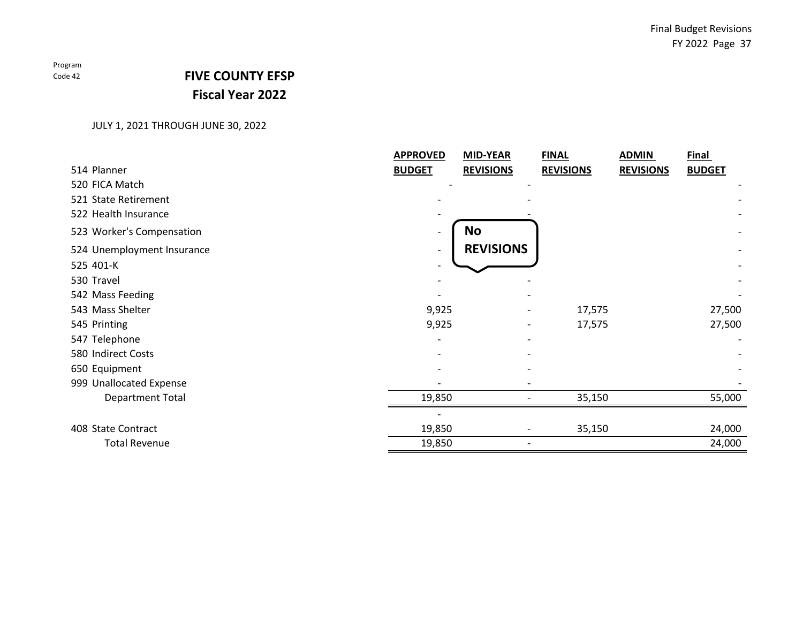# **FIVE COUNTY EFSP Fiscal Year 2022**

|                            | <b>APPROVED</b> | MID-YEAR         | <b>FINAL</b>     | <b>ADMIN</b>     | <b>Final</b>  |
|----------------------------|-----------------|------------------|------------------|------------------|---------------|
| 514 Planner                | <b>BUDGET</b>   | <b>REVISIONS</b> | <b>REVISIONS</b> | <b>REVISIONS</b> | <b>BUDGET</b> |
| 520 FICA Match             |                 |                  |                  |                  |               |
| 521 State Retirement       |                 |                  |                  |                  |               |
| 522 Health Insurance       |                 |                  |                  |                  |               |
| 523 Worker's Compensation  |                 | <b>No</b>        |                  |                  |               |
| 524 Unemployment Insurance |                 | <b>REVISIONS</b> |                  |                  |               |
| 525 401-K                  |                 |                  |                  |                  |               |
| 530 Travel                 |                 |                  |                  |                  |               |
| 542 Mass Feeding           |                 |                  |                  |                  |               |
| 543 Mass Shelter           | 9,925           |                  | 17,575           |                  | 27,500        |
| 545 Printing               | 9,925           |                  | 17,575           |                  | 27,500        |
| 547 Telephone              |                 |                  |                  |                  |               |
| 580 Indirect Costs         |                 |                  |                  |                  |               |
| 650 Equipment              |                 |                  |                  |                  |               |
| 999 Unallocated Expense    |                 |                  |                  |                  |               |
| <b>Department Total</b>    | 19,850          |                  | 35,150           |                  | 55,000        |
|                            |                 |                  |                  |                  |               |
| 408 State Contract         | 19,850          |                  | 35,150           |                  | 24,000        |
| <b>Total Revenue</b>       | 19,850          |                  |                  |                  | 24,000        |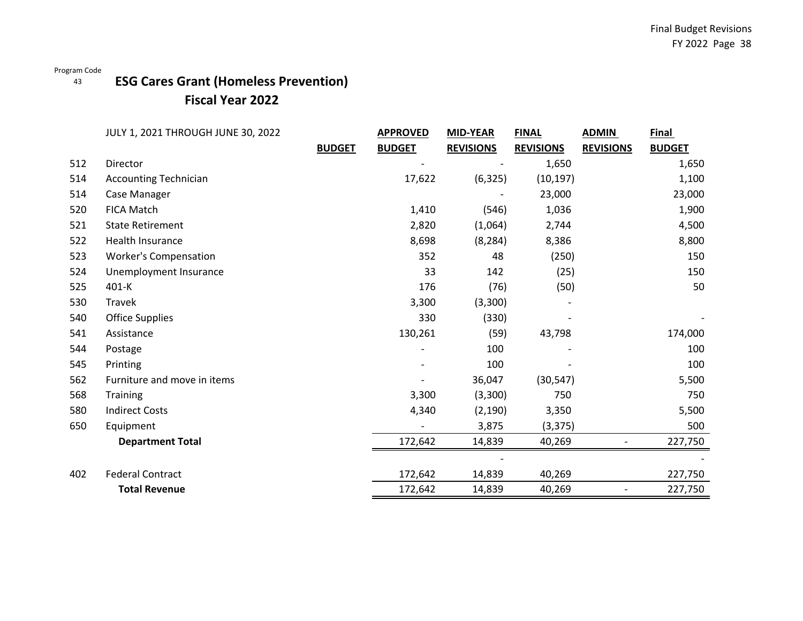### 43 **ESG Cares Grant (Homeless Prevention) Fiscal Year 2022**

|     | JULY 1, 2021 THROUGH JUNE 30, 2022 |               | <b>APPROVED</b> | <b>MID-YEAR</b>  | <b>FINAL</b>     | <b>ADMIN</b>     | <b>Final</b>  |
|-----|------------------------------------|---------------|-----------------|------------------|------------------|------------------|---------------|
|     |                                    | <b>BUDGET</b> | <b>BUDGET</b>   | <b>REVISIONS</b> | <b>REVISIONS</b> | <b>REVISIONS</b> | <b>BUDGET</b> |
| 512 | Director                           |               |                 |                  | 1,650            |                  | 1,650         |
| 514 | <b>Accounting Technician</b>       |               | 17,622          | (6, 325)         | (10, 197)        |                  | 1,100         |
| 514 | Case Manager                       |               |                 |                  | 23,000           |                  | 23,000        |
| 520 | <b>FICA Match</b>                  |               | 1,410           | (546)            | 1,036            |                  | 1,900         |
| 521 | <b>State Retirement</b>            |               | 2,820           | (1,064)          | 2,744            |                  | 4,500         |
| 522 | Health Insurance                   |               | 8,698           | (8, 284)         | 8,386            |                  | 8,800         |
| 523 | <b>Worker's Compensation</b>       |               | 352             | 48               | (250)            |                  | 150           |
| 524 | Unemployment Insurance             |               | 33              | 142              | (25)             |                  | 150           |
| 525 | 401-K                              |               | 176             | (76)             | (50)             |                  | 50            |
| 530 | Travek                             |               | 3,300           | (3,300)          |                  |                  |               |
| 540 | <b>Office Supplies</b>             |               | 330             | (330)            |                  |                  |               |
| 541 | Assistance                         |               | 130,261         | (59)             | 43,798           |                  | 174,000       |
| 544 | Postage                            |               |                 | 100              |                  |                  | 100           |
| 545 | Printing                           |               |                 | 100              |                  |                  | 100           |
| 562 | Furniture and move in items        |               |                 | 36,047           | (30, 547)        |                  | 5,500         |
| 568 | <b>Training</b>                    |               | 3,300           | (3,300)          | 750              |                  | 750           |
| 580 | <b>Indirect Costs</b>              |               | 4,340           | (2, 190)         | 3,350            |                  | 5,500         |
| 650 | Equipment                          |               |                 | 3,875            | (3, 375)         |                  | 500           |
|     | <b>Department Total</b>            |               | 172,642         | 14,839           | 40,269           |                  | 227,750       |
|     |                                    |               |                 |                  |                  |                  |               |
| 402 | <b>Federal Contract</b>            |               | 172,642         | 14,839           | 40,269           |                  | 227,750       |
|     | <b>Total Revenue</b>               |               | 172,642         | 14,839           | 40,269           |                  | 227,750       |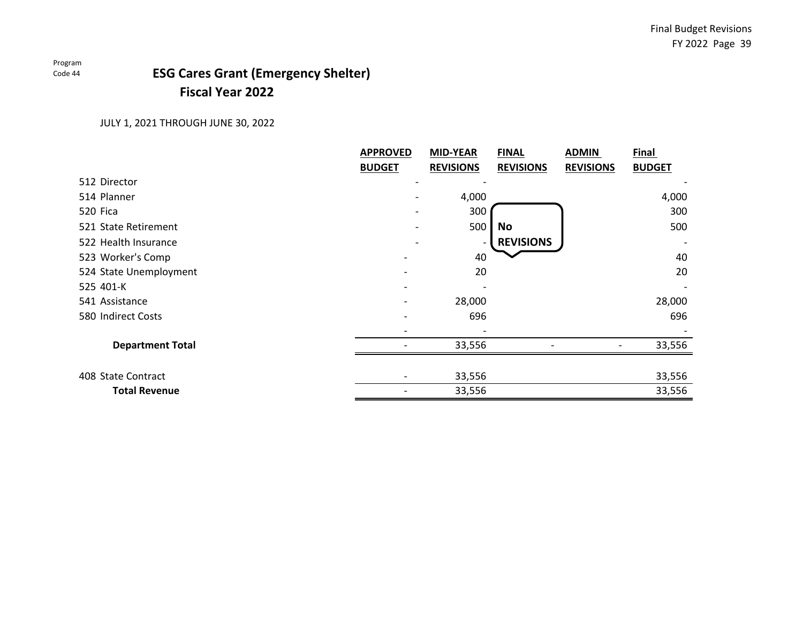# **Fiscal Year 2022 ESG Cares Grant (Emergency Shelter)**

|                         | <b>APPROVED</b> | <b>MID-YEAR</b>  | <b>FINAL</b>     | <b>ADMIN</b>     | Final         |
|-------------------------|-----------------|------------------|------------------|------------------|---------------|
|                         | <b>BUDGET</b>   | <b>REVISIONS</b> | <b>REVISIONS</b> | <b>REVISIONS</b> | <b>BUDGET</b> |
| 512 Director            |                 |                  |                  |                  |               |
| 514 Planner             |                 | 4,000            |                  |                  | 4,000         |
| 520 Fica                |                 | 300              |                  |                  | 300           |
| 521 State Retirement    |                 | 500              | No               |                  | 500           |
| 522 Health Insurance    |                 |                  | <b>REVISIONS</b> |                  |               |
| 523 Worker's Comp       |                 | 40               |                  |                  | 40            |
| 524 State Unemployment  |                 | 20               |                  |                  | 20            |
| 525 401-K               |                 |                  |                  |                  |               |
| 541 Assistance          |                 | 28,000           |                  |                  | 28,000        |
| 580 Indirect Costs      |                 | 696              |                  |                  | 696           |
|                         |                 |                  |                  |                  |               |
| <b>Department Total</b> |                 | 33,556           |                  |                  | 33,556        |
|                         |                 |                  |                  |                  |               |
| 408 State Contract      |                 | 33,556           |                  |                  | 33,556        |
| <b>Total Revenue</b>    |                 | 33,556           |                  |                  | 33,556        |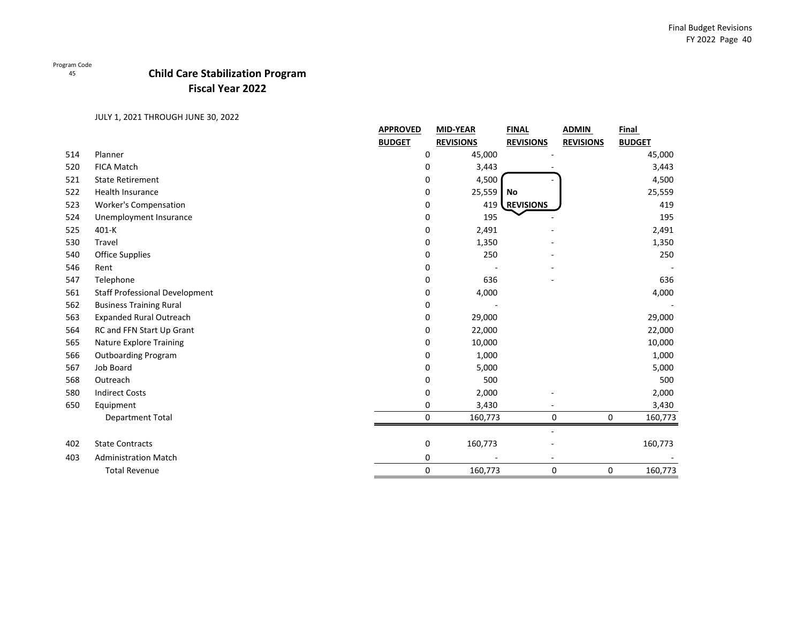45

## **Child Care Stabilization Program Fiscal Year 2022**

|     |                                       | <b>APPROVED</b> | <b>MID-YEAR</b>  | <b>FINAL</b>     | <b>ADMIN</b>     | Final         |
|-----|---------------------------------------|-----------------|------------------|------------------|------------------|---------------|
|     |                                       | <b>BUDGET</b>   | <b>REVISIONS</b> | <b>REVISIONS</b> | <b>REVISIONS</b> | <b>BUDGET</b> |
| 514 | Planner                               | 0               | 45,000           |                  |                  | 45,000        |
| 520 | <b>FICA Match</b>                     | 0               | 3,443            |                  |                  | 3,443         |
| 521 | <b>State Retirement</b>               | 0               | 4,500            |                  |                  | 4,500         |
| 522 | <b>Health Insurance</b>               | 0               | 25,559           | No               |                  | 25,559        |
| 523 | <b>Worker's Compensation</b>          | 0               | 419              | REVISIONS        |                  | 419           |
| 524 | Unemployment Insurance                | 0               | 195              |                  |                  | 195           |
| 525 | 401-K                                 | 0               | 2,491            |                  |                  | 2,491         |
| 530 | Travel                                | 0               | 1,350            |                  |                  | 1,350         |
| 540 | <b>Office Supplies</b>                | 0               | 250              |                  |                  | 250           |
| 546 | Rent                                  | 0               |                  |                  |                  |               |
| 547 | Telephone                             | 0               | 636              |                  |                  | 636           |
| 561 | <b>Staff Professional Development</b> | 0               | 4,000            |                  |                  | 4,000         |
| 562 | <b>Business Training Rural</b>        | 0               |                  |                  |                  |               |
| 563 | <b>Expanded Rural Outreach</b>        | 0               | 29,000           |                  |                  | 29,000        |
| 564 | RC and FFN Start Up Grant             | 0               | 22,000           |                  |                  | 22,000        |
| 565 | <b>Nature Explore Training</b>        | 0               | 10,000           |                  |                  | 10,000        |
| 566 | <b>Outboarding Program</b>            | 0               | 1,000            |                  |                  | 1,000         |
| 567 | Job Board                             | 0               | 5,000            |                  |                  | 5,000         |
| 568 | Outreach                              | 0               | 500              |                  |                  | 500           |
| 580 | <b>Indirect Costs</b>                 | 0               | 2,000            |                  |                  | 2,000         |
| 650 | Equipment                             | 0               | 3,430            |                  |                  | 3,430         |
|     | <b>Department Total</b>               | 0               | 160,773          | 0                | $\mathbf 0$      | 160,773       |
| 402 | <b>State Contracts</b>                | 0               | 160,773          |                  |                  | 160,773       |
| 403 | <b>Administration Match</b>           |                 |                  | $\overline{a}$   |                  |               |
|     |                                       | 0               |                  |                  |                  |               |
|     | <b>Total Revenue</b>                  | 0               | 160,773          | 0                | 0                | 160,773       |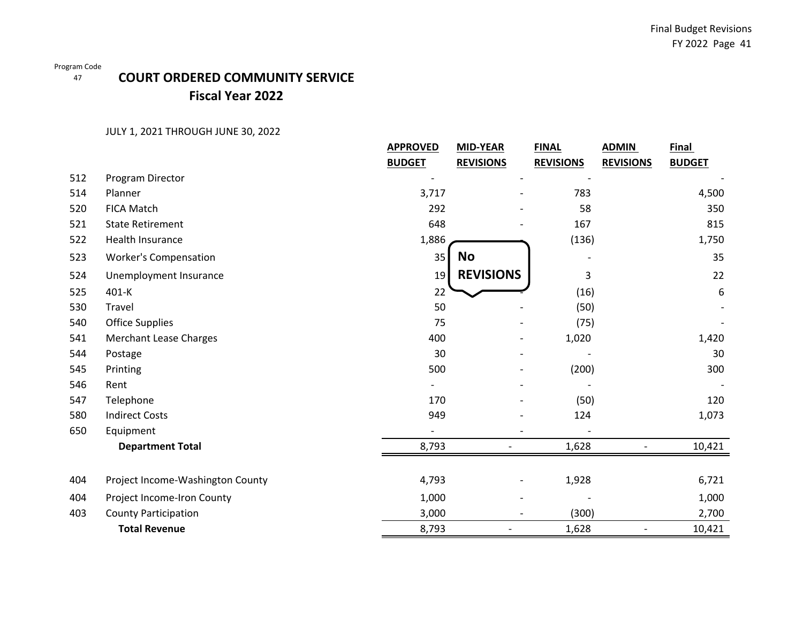# **COURT ORDERED COMMUNITY SERVICE Fiscal Year 2022**

|     |                                  | <b>APPROVED</b> | <b>MID-YEAR</b>          | <b>FINAL</b>     | <b>ADMIN</b>     | <b>Final</b>  |
|-----|----------------------------------|-----------------|--------------------------|------------------|------------------|---------------|
|     |                                  | <b>BUDGET</b>   | <b>REVISIONS</b>         | <b>REVISIONS</b> | <b>REVISIONS</b> | <b>BUDGET</b> |
| 512 | Program Director                 |                 |                          |                  |                  |               |
| 514 | Planner                          | 3,717           |                          | 783              |                  | 4,500         |
| 520 | <b>FICA Match</b>                | 292             |                          | 58               |                  | 350           |
| 521 | <b>State Retirement</b>          | 648             |                          | 167              |                  | 815           |
| 522 | Health Insurance                 | 1,886           |                          | (136)            |                  | 1,750         |
| 523 | <b>Worker's Compensation</b>     | 35              | <b>No</b>                |                  |                  | 35            |
| 524 | Unemployment Insurance           | 19              | <b>REVISIONS</b>         | 3                |                  | 22            |
| 525 | 401-K                            | 22              |                          | (16)             |                  | 6             |
| 530 | Travel                           | 50              |                          | (50)             |                  |               |
| 540 | <b>Office Supplies</b>           | 75              |                          | (75)             |                  |               |
| 541 | <b>Merchant Lease Charges</b>    | 400             |                          | 1,020            |                  | 1,420         |
| 544 | Postage                          | 30              |                          |                  |                  | 30            |
| 545 | Printing                         | 500             |                          | (200)            |                  | 300           |
| 546 | Rent                             |                 |                          |                  |                  |               |
| 547 | Telephone                        | 170             |                          | (50)             |                  | 120           |
| 580 | <b>Indirect Costs</b>            | 949             |                          | 124              |                  | 1,073         |
| 650 | Equipment                        |                 | $\overline{\phantom{a}}$ |                  |                  |               |
|     | <b>Department Total</b>          | 8,793           |                          | 1,628            |                  | 10,421        |
|     |                                  |                 |                          |                  |                  |               |
| 404 | Project Income-Washington County | 4,793           |                          | 1,928            |                  | 6,721         |
| 404 | Project Income-Iron County       | 1,000           |                          |                  |                  | 1,000         |
| 403 | <b>County Participation</b>      | 3,000           | $\overline{\phantom{a}}$ | (300)            |                  | 2,700         |
|     | <b>Total Revenue</b>             | 8,793           |                          | 1,628            |                  | 10,421        |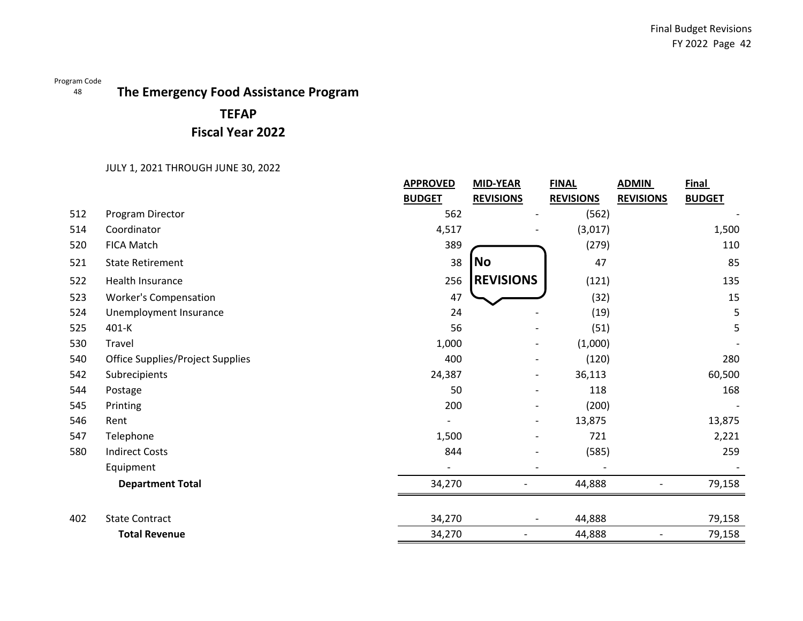### 48 **The Emergency Food Assistance Program**

# **TEFAP Fiscal Year 2022**

|     |                                         | <b>APPROVED</b>          | <b>MID-YEAR</b>          | <b>FINAL</b>     | <b>ADMIN</b>     | <b>Final</b>  |
|-----|-----------------------------------------|--------------------------|--------------------------|------------------|------------------|---------------|
|     |                                         | <b>BUDGET</b>            | <b>REVISIONS</b>         | <b>REVISIONS</b> | <b>REVISIONS</b> | <b>BUDGET</b> |
| 512 | Program Director                        | 562                      |                          | (562)            |                  |               |
| 514 | Coordinator                             | 4,517                    |                          | (3,017)          |                  | 1,500         |
| 520 | <b>FICA Match</b>                       | 389                      |                          | (279)            |                  | 110           |
| 521 | <b>State Retirement</b>                 | 38                       | No                       | 47               |                  | 85            |
| 522 | Health Insurance                        | 256                      | <b>REVISIONS</b>         | (121)            |                  | 135           |
| 523 | <b>Worker's Compensation</b>            | 47                       |                          | (32)             |                  | 15            |
| 524 | Unemployment Insurance                  | 24                       |                          | (19)             |                  | 5             |
| 525 | 401-K                                   | 56                       |                          | (51)             |                  | 5             |
| 530 | Travel                                  | 1,000                    |                          | (1,000)          |                  |               |
| 540 | <b>Office Supplies/Project Supplies</b> | 400                      |                          | (120)            |                  | 280           |
| 542 | Subrecipients                           | 24,387                   | $\overline{\phantom{0}}$ | 36,113           |                  | 60,500        |
| 544 | Postage                                 | 50                       |                          | 118              |                  | 168           |
| 545 | Printing                                | 200                      |                          | (200)            |                  |               |
| 546 | Rent                                    |                          | $\overline{\phantom{a}}$ | 13,875           |                  | 13,875        |
| 547 | Telephone                               | 1,500                    |                          | 721              |                  | 2,221         |
| 580 | <b>Indirect Costs</b>                   | 844                      |                          | (585)            |                  | 259           |
|     | Equipment                               | $\overline{\phantom{a}}$ |                          |                  |                  |               |
|     | <b>Department Total</b>                 | 34,270                   |                          | 44,888           |                  | 79,158        |
|     |                                         |                          |                          |                  |                  |               |
| 402 | <b>State Contract</b>                   | 34,270                   |                          | 44,888           |                  | 79,158        |
|     | <b>Total Revenue</b>                    | 34,270                   |                          | 44,888           |                  | 79,158        |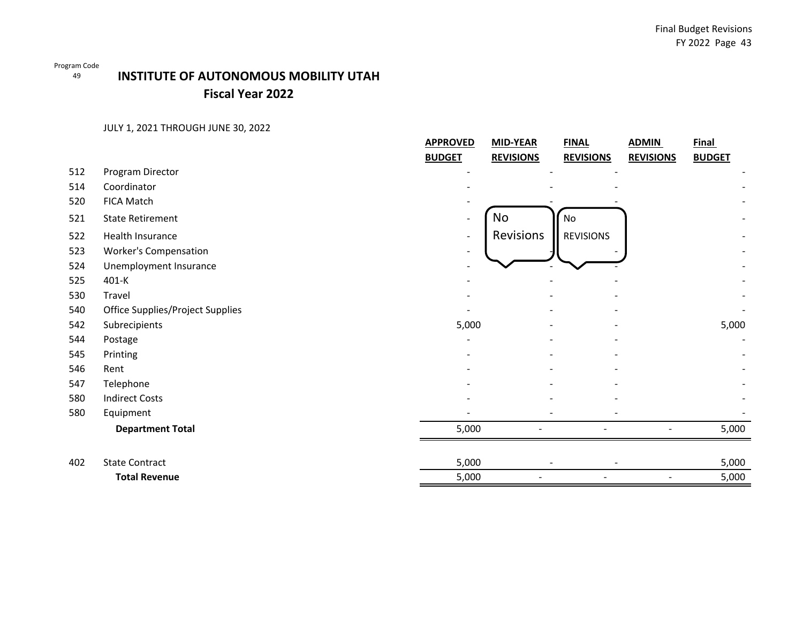49

## **INSTITUTE OF AUTONOMOUS MOBILITY UTAH Fiscal Year 2022**

|                                         | <b>APPROVED</b>                               | <b>MID-YEAR</b>  | <b>FINAL</b>     | <b>ADMIN</b>     | <b>Final</b>  |
|-----------------------------------------|-----------------------------------------------|------------------|------------------|------------------|---------------|
|                                         | <b>BUDGET</b>                                 | <b>REVISIONS</b> | <b>REVISIONS</b> | <b>REVISIONS</b> | <b>BUDGET</b> |
| Program Director                        |                                               |                  |                  |                  |               |
| Coordinator                             |                                               |                  |                  |                  |               |
| FICA Match                              |                                               |                  |                  |                  |               |
| <b>State Retirement</b>                 | $\overline{\phantom{0}}$                      | No               | No               |                  |               |
| Health Insurance                        | $\blacksquare$                                | Revisions        | <b>REVISIONS</b> |                  |               |
| <b>Worker's Compensation</b>            | $\overline{\phantom{a}}$                      |                  |                  |                  |               |
| Unemployment Insurance                  |                                               |                  |                  |                  |               |
| 401-K                                   |                                               |                  |                  |                  |               |
| Travel                                  |                                               |                  |                  |                  |               |
| <b>Office Supplies/Project Supplies</b> |                                               |                  |                  |                  |               |
| Subrecipients                           | 5,000                                         |                  |                  |                  | 5,000         |
| Postage                                 |                                               |                  |                  |                  |               |
| Printing                                |                                               |                  |                  |                  |               |
| Rent                                    |                                               |                  |                  |                  |               |
| Telephone                               |                                               |                  |                  |                  |               |
| <b>Indirect Costs</b>                   |                                               |                  |                  |                  |               |
| Equipment                               |                                               |                  |                  |                  |               |
| <b>Department Total</b>                 | 5,000                                         |                  |                  |                  | 5,000         |
|                                         |                                               |                  |                  |                  | 5,000         |
|                                         |                                               |                  |                  |                  | 5,000         |
|                                         | <b>State Contract</b><br><b>Total Revenue</b> | 5,000<br>5,000   |                  |                  |               |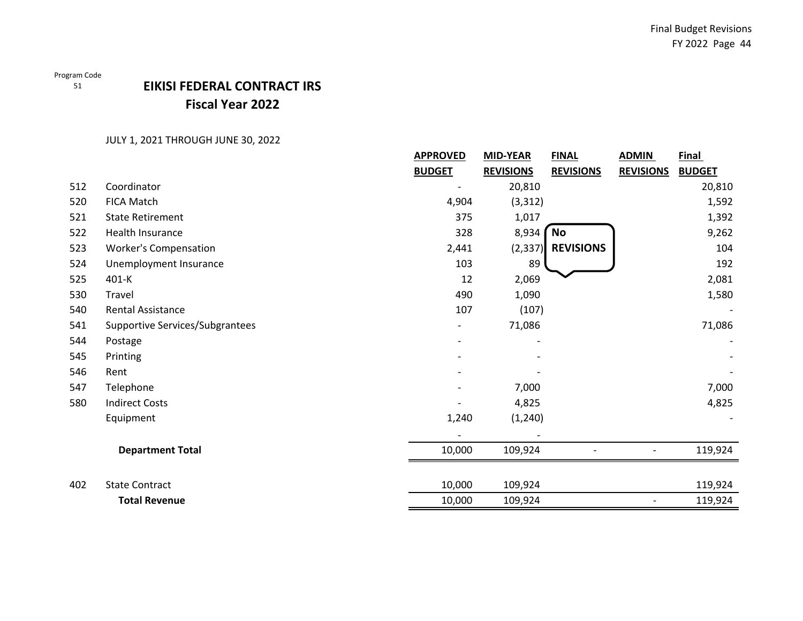## Program Code

51

# **EIKISI FEDERAL CONTRACT IRS Fiscal Year 2022**

|     |                                 | <b>APPROVED</b> | <b>MID-YEAR</b>  | <b>FINAL</b>     | <b>ADMIN</b>             | <b>Final</b>  |
|-----|---------------------------------|-----------------|------------------|------------------|--------------------------|---------------|
|     |                                 | <b>BUDGET</b>   | <b>REVISIONS</b> | <b>REVISIONS</b> | <b>REVISIONS</b>         | <b>BUDGET</b> |
| 512 | Coordinator                     |                 | 20,810           |                  |                          | 20,810        |
| 520 | <b>FICA Match</b>               | 4,904           | (3, 312)         |                  |                          | 1,592         |
| 521 | <b>State Retirement</b>         | 375             | 1,017            |                  |                          | 1,392         |
| 522 | Health Insurance                | 328             | 8,934            | No               |                          | 9,262         |
| 523 | <b>Worker's Compensation</b>    | 2,441           | (2, 337)         | <b>REVISIONS</b> |                          | 104           |
| 524 | Unemployment Insurance          | 103             | 89               |                  |                          | 192           |
| 525 | 401-K                           | 12              | 2,069            |                  |                          | 2,081         |
| 530 | Travel                          | 490             | 1,090            |                  |                          | 1,580         |
| 540 | Rental Assistance               | 107             | (107)            |                  |                          |               |
| 541 | Supportive Services/Subgrantees |                 | 71,086           |                  |                          | 71,086        |
| 544 | Postage                         |                 |                  |                  |                          |               |
| 545 | Printing                        |                 |                  |                  |                          |               |
| 546 | Rent                            |                 |                  |                  |                          |               |
| 547 | Telephone                       |                 | 7,000            |                  |                          | 7,000         |
| 580 | <b>Indirect Costs</b>           |                 | 4,825            |                  |                          | 4,825         |
|     | Equipment                       | 1,240           | (1, 240)         |                  |                          |               |
|     |                                 |                 |                  |                  |                          |               |
|     | <b>Department Total</b>         | 10,000          | 109,924          |                  |                          | 119,924       |
| 402 | <b>State Contract</b>           | 10,000          | 109,924          |                  |                          | 119,924       |
|     | <b>Total Revenue</b>            | 10,000          | 109,924          |                  | $\overline{\phantom{a}}$ | 119,924       |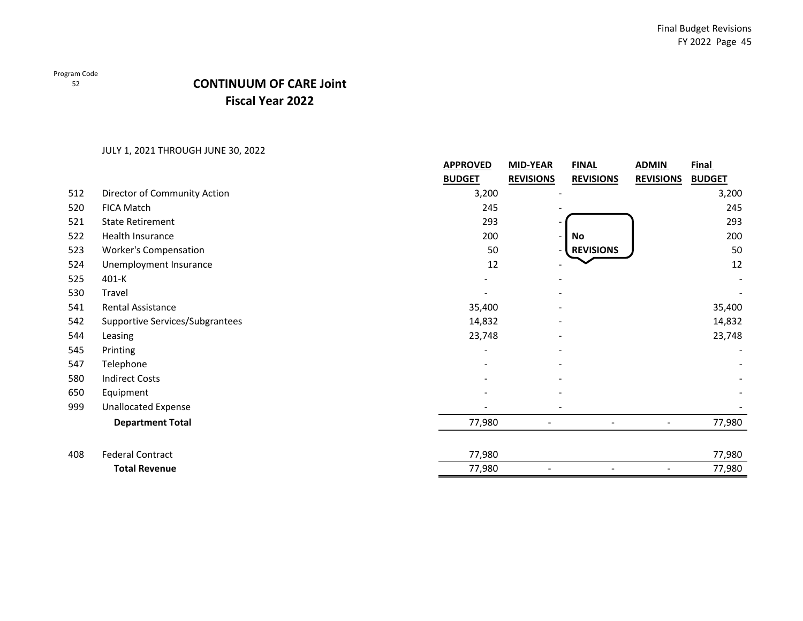52

## **Fiscal Year 2022 CONTINUUM OF CARE Joint**

|     |                                 | <b>APPROVED</b> | <b>MID-YEAR</b>  | <b>FINAL</b>     | <b>ADMIN</b>     | <b>Final</b>  |
|-----|---------------------------------|-----------------|------------------|------------------|------------------|---------------|
|     |                                 | <b>BUDGET</b>   | <b>REVISIONS</b> | <b>REVISIONS</b> | <b>REVISIONS</b> | <b>BUDGET</b> |
| 512 | Director of Community Action    | 3,200           |                  |                  |                  | 3,200         |
| 520 | <b>FICA Match</b>               | 245             |                  |                  |                  | 245           |
| 521 | <b>State Retirement</b>         | 293             |                  |                  |                  | 293           |
| 522 | Health Insurance                | 200             |                  | No               |                  | 200           |
| 523 | <b>Worker's Compensation</b>    | 50              |                  | <b>REVISIONS</b> |                  | 50            |
| 524 | Unemployment Insurance          | 12              |                  |                  |                  | 12            |
| 525 | $401 - K$                       |                 |                  |                  |                  |               |
| 530 | Travel                          |                 |                  |                  |                  |               |
| 541 | Rental Assistance               | 35,400          |                  |                  |                  | 35,400        |
| 542 | Supportive Services/Subgrantees | 14,832          |                  |                  |                  | 14,832        |
| 544 | Leasing                         | 23,748          |                  |                  |                  | 23,748        |
| 545 | Printing                        |                 |                  |                  |                  |               |
| 547 | Telephone                       |                 |                  |                  |                  |               |
| 580 | <b>Indirect Costs</b>           |                 |                  |                  |                  |               |
| 650 | Equipment                       |                 |                  |                  |                  |               |
| 999 | <b>Unallocated Expense</b>      |                 |                  |                  |                  |               |
|     | <b>Department Total</b>         | 77,980          |                  |                  |                  | 77,980        |
| 408 | <b>Federal Contract</b>         | 77,980          |                  |                  |                  | 77,980        |
|     | <b>Total Revenue</b>            | 77,980          |                  |                  |                  | 77,980        |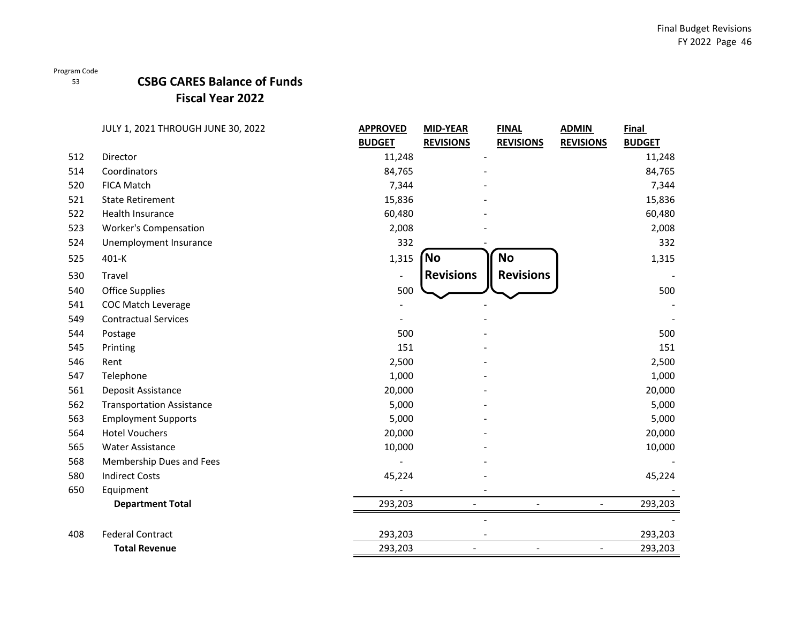### 53

## **CSBG CARES Balance of Funds Fiscal Year 2022**

|     | JULY 1, 2021 THROUGH JUNE 30, 2022 | <b>APPROVED</b> | <b>MID-YEAR</b>          | <b>FINAL</b>     | <b>ADMIN</b>         | Final         |
|-----|------------------------------------|-----------------|--------------------------|------------------|----------------------|---------------|
|     |                                    | <b>BUDGET</b>   | <b>REVISIONS</b>         | <b>REVISIONS</b> | <b>REVISIONS</b>     | <b>BUDGET</b> |
| 512 | Director                           | 11,248          |                          |                  |                      | 11,248        |
| 514 | Coordinators                       | 84,765          |                          |                  |                      | 84,765        |
| 520 | <b>FICA Match</b>                  | 7,344           |                          |                  |                      | 7,344         |
| 521 | <b>State Retirement</b>            | 15,836          |                          |                  |                      | 15,836        |
| 522 | Health Insurance                   | 60,480          |                          |                  |                      | 60,480        |
| 523 | <b>Worker's Compensation</b>       | 2,008           |                          |                  |                      | 2,008         |
| 524 | Unemployment Insurance             | 332             |                          |                  |                      | 332           |
| 525 | 401-K                              | 1,315           | <b>No</b>                | <b>No</b>        |                      | 1,315         |
| 530 | Travel                             |                 | <b>Revisions</b>         | <b>Revisions</b> |                      |               |
| 540 | <b>Office Supplies</b>             | 500             |                          |                  |                      | 500           |
| 541 | <b>COC Match Leverage</b>          |                 |                          |                  |                      |               |
| 549 | <b>Contractual Services</b>        |                 |                          |                  |                      |               |
| 544 | Postage                            | 500             |                          |                  |                      | 500           |
| 545 | Printing                           | 151             |                          |                  |                      | 151           |
| 546 | Rent                               | 2,500           |                          |                  |                      | 2,500         |
| 547 | Telephone                          | 1,000           |                          |                  |                      | 1,000         |
| 561 | Deposit Assistance                 | 20,000          |                          |                  |                      | 20,000        |
| 562 | <b>Transportation Assistance</b>   | 5,000           |                          |                  |                      | 5,000         |
| 563 | <b>Employment Supports</b>         | 5,000           |                          |                  |                      | 5,000         |
| 564 | <b>Hotel Vouchers</b>              | 20,000          |                          |                  |                      | 20,000        |
| 565 | <b>Water Assistance</b>            | 10,000          |                          |                  |                      | 10,000        |
| 568 | Membership Dues and Fees           |                 |                          |                  |                      |               |
| 580 | <b>Indirect Costs</b>              | 45,224          |                          |                  |                      | 45,224        |
| 650 | Equipment                          |                 |                          |                  |                      |               |
|     | <b>Department Total</b>            | 293,203         | $\overline{\phantom{a}}$ |                  | $\blacksquare$       | 293,203       |
|     |                                    |                 |                          |                  |                      |               |
| 408 | <b>Federal Contract</b>            | 293,203         |                          |                  |                      | 293,203       |
|     | <b>Total Revenue</b>               | 293,203         |                          | $\blacksquare$   | $\ddot{\phantom{1}}$ | 293,203       |